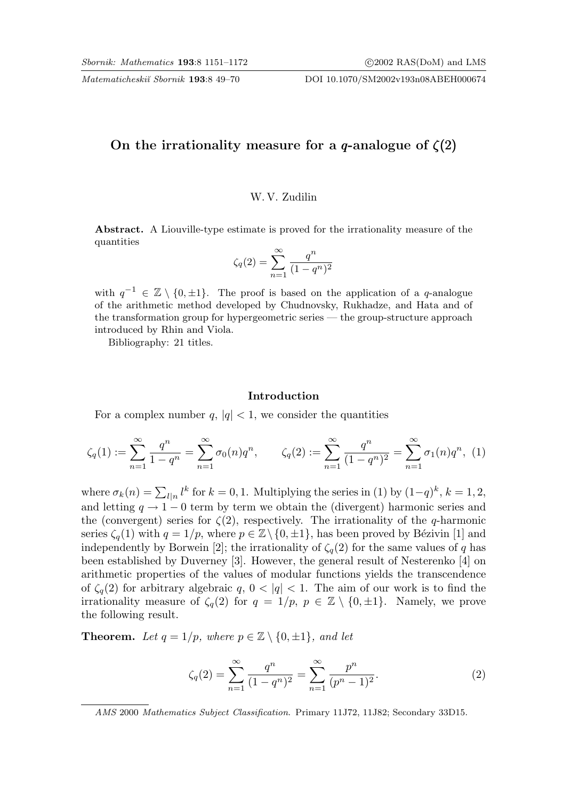Matematicheskiĭ Sbornik 193:8 49–70 DOI 10.1070/SM2002v193n08ABEH000674

# On the irrationality measure for a q-analogue of  $\zeta(2)$

#### W. V. Zudilin

Abstract. A Liouville-type estimate is proved for the irrationality measure of the quantities

$$
\zeta_q(2) = \sum_{n=1}^{\infty} \frac{q^n}{(1-q^n)^2}
$$

with  $q^{-1} \in \mathbb{Z} \setminus \{0, \pm 1\}$ . The proof is based on the application of a q-analogue of the arithmetic method developed by Chudnovsky, Rukhadze, and Hata and of the transformation group for hypergeometric series — the group-structure approach introduced by Rhin and Viola.

Bibliography: 21 titles.

#### Introduction

For a complex number  $q, |q| < 1$ , we consider the quantities

$$
\zeta_q(1) := \sum_{n=1}^{\infty} \frac{q^n}{1 - q^n} = \sum_{n=1}^{\infty} \sigma_0(n) q^n, \qquad \zeta_q(2) := \sum_{n=1}^{\infty} \frac{q^n}{(1 - q^n)^2} = \sum_{n=1}^{\infty} \sigma_1(n) q^n, \tag{1}
$$

where  $\sigma_k(n) = \sum_{l|n} l^k$  for  $k = 0, 1$ . Multiplying the series in (1) by  $(1-q)^k$ ,  $k = 1, 2$ , and letting  $q \to 1-0$  term by term we obtain the (divergent) harmonic series and the (convergent) series for  $\zeta(2)$ , respectively. The irrationality of the q-harmonic series  $\zeta_q(1)$  with  $q = 1/p$ , where  $p \in \mathbb{Z} \setminus \{0, \pm 1\}$ , has been proved by Bézivin [1] and independently by Borwein [2]; the irrationality of  $\zeta_q(2)$  for the same values of q has been established by Duverney [3]. However, the general result of Nesterenko [4] on arithmetic properties of the values of modular functions yields the transcendence of  $\zeta_q(2)$  for arbitrary algebraic q,  $0 < |q| < 1$ . The aim of our work is to find the irrationality measure of  $\zeta_q(2)$  for  $q = 1/p$ ,  $p \in \mathbb{Z} \setminus \{0, \pm 1\}$ . Namely, we prove the following result.

**Theorem.** Let  $q = 1/p$ , where  $p \in \mathbb{Z} \setminus \{0, \pm 1\}$ , and let

$$
\zeta_q(2) = \sum_{n=1}^{\infty} \frac{q^n}{(1-q^n)^2} = \sum_{n=1}^{\infty} \frac{p^n}{(p^n-1)^2}.
$$
 (2)

AMS 2000 Mathematics Subject Classification. Primary 11J72, 11J82; Secondary 33D15.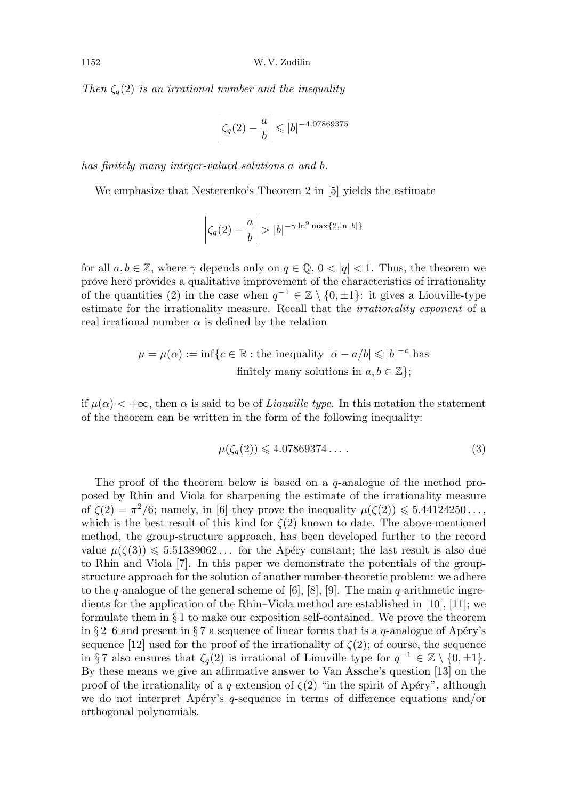Then  $\zeta_q(2)$  is an irrational number and the inequality

$$
\left|\zeta_q(2) - \frac{a}{b}\right| \leqslant |b|^{-4.07869375}
$$

has finitely many integer-valued solutions a and b.

We emphasize that Nesterenko's Theorem 2 in [5] yields the estimate

$$
\left|\zeta_q(2)-\frac{a}{b}\right|>|b|^{-\gamma\ln^9\max\{2,\ln|b|\}}
$$

for all  $a, b \in \mathbb{Z}$ , where  $\gamma$  depends only on  $q \in \mathbb{Q}$ ,  $0 < |q| < 1$ . Thus, the theorem we prove here provides a qualitative improvement of the characteristics of irrationality of the quantities (2) in the case when  $q^{-1} \in \mathbb{Z} \setminus \{0, \pm 1\}$ : it gives a Liouville-type estimate for the irrationality measure. Recall that the irrationality exponent of a real irrational number  $\alpha$  is defined by the relation

$$
\mu = \mu(\alpha) := \inf \{ c \in \mathbb{R} : \text{the inequality } |\alpha - a/b| \leqslant |b|^{-c} \text{ has}
$$
  
finitely many solutions in  $a, b \in \mathbb{Z} \};$ 

if  $\mu(\alpha) < +\infty$ , then  $\alpha$  is said to be of *Liouville type*. In this notation the statement of the theorem can be written in the form of the following inequality:

$$
\mu(\zeta_q(2)) \leqslant 4.07869374\ldots \,. \tag{3}
$$

The proof of the theorem below is based on a  $q$ -analogue of the method proposed by Rhin and Viola for sharpening the estimate of the irrationality measure of  $\zeta(2) = \pi^2/6$ ; namely, in [6] they prove the inequality  $\mu(\zeta(2)) \leq 5.44124250...$ which is the best result of this kind for  $\zeta(2)$  known to date. The above-mentioned method, the group-structure approach, has been developed further to the record value  $\mu(\zeta(3)) \leq 5.51389062...$  for the Apéry constant; the last result is also due to Rhin and Viola [7]. In this paper we demonstrate the potentials of the groupstructure approach for the solution of another number-theoretic problem: we adhere to the q-analogue of the general scheme of  $[6]$ ,  $[8]$ ,  $[9]$ . The main q-arithmetic ingredients for the application of the Rhin–Viola method are established in [10], [11]; we formulate them in  $\S 1$  to make our exposition self-contained. We prove the theorem in § 2–6 and present in § 7 a sequence of linear forms that is a q-analogue of Apéry's sequence [12] used for the proof of the irrationality of  $\zeta(2)$ ; of course, the sequence in §7 also ensures that  $\zeta_q(2)$  is irrational of Liouville type for  $q^{-1} \in \mathbb{Z} \setminus \{0, \pm 1\}.$ By these means we give an affirmative answer to Van Assche's question [13] on the proof of the irrationality of a q-extension of  $\zeta(2)$  "in the spirit of Apéry", although we do not interpret Apéry's q-sequence in terms of difference equations and/or orthogonal polynomials.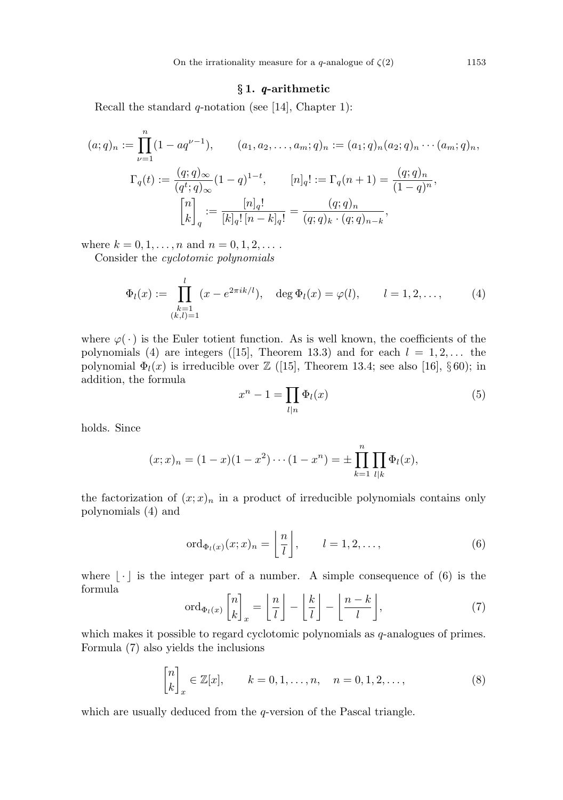## § 1. q-arithmetic

Recall the standard  $q$ -notation (see [14], Chapter 1):

$$
(a;q)_n := \prod_{\nu=1}^n (1 - aq^{\nu-1}), \qquad (a_1, a_2, \dots, a_m; q)_n := (a_1;q)_n (a_2;q)_n \cdots (a_m;q)_n,
$$

$$
\Gamma_q(t) := \frac{(q;q)_{\infty}}{(q^t;q)_{\infty}} (1-q)^{1-t}, \qquad [n]_q! := \Gamma_q(n+1) = \frac{(q;q)_n}{(1-q)^n},
$$

$$
\begin{bmatrix} n \\ k \end{bmatrix}_q := \frac{[n]_q!}{[k]_q! [n-k]_q!} = \frac{(q;q)_n}{(q;q)_k \cdot (q;q)_{n-k}},
$$

where  $k = 0, 1, ..., n$  and  $n = 0, 1, 2, ...$ 

Consider the cyclotomic polynomials

$$
\Phi_l(x) := \prod_{\substack{k=1\\(k,l)=1}}^l (x - e^{2\pi i k/l}), \quad \deg \Phi_l(x) = \varphi(l), \qquad l = 1, 2, \dots,
$$
 (4)

where  $\varphi(\cdot)$  is the Euler totient function. As is well known, the coefficients of the polynomials (4) are integers ([15], Theorem 13.3) and for each  $l = 1, 2, \ldots$  the polynomial  $\Phi_l(x)$  is irreducible over  $\mathbb{Z}$  ([15], Theorem 13.4; see also [16], §60); in addition, the formula

$$
x^n - 1 = \prod_{l|n} \Phi_l(x) \tag{5}
$$

holds. Since

$$
(x;x)_n = (1-x)(1-x^2)\cdots(1-x^n) = \pm \prod_{k=1}^n \prod_{l|k} \Phi_l(x),
$$

the factorization of  $(x; x)_n$  in a product of irreducible polynomials contains only polynomials (4) and

$$
\operatorname{ord}_{\Phi_l(x)}(x;x)_n = \left\lfloor \frac{n}{l} \right\rfloor, \qquad l = 1, 2, \dots,
$$
\n(6)

where  $|\cdot|$  is the integer part of a number. A simple consequence of (6) is the formula

$$
\operatorname{ord}_{\Phi_l(x)}\begin{bmatrix} n \\ k \end{bmatrix}_x = \begin{bmatrix} n \\ \overline{l} \end{bmatrix} - \begin{bmatrix} \frac{k}{l} \end{bmatrix} - \begin{bmatrix} \frac{n-k}{l} \end{bmatrix},\tag{7}
$$

which makes it possible to regard cyclotomic polynomials as q-analogues of primes. Formula (7) also yields the inclusions

$$
\begin{bmatrix} n \\ k \end{bmatrix}_x \in \mathbb{Z}[x], \qquad k = 0, 1, \dots, n, \quad n = 0, 1, 2, \dots,
$$
 (8)

which are usually deduced from the *q*-version of the Pascal triangle.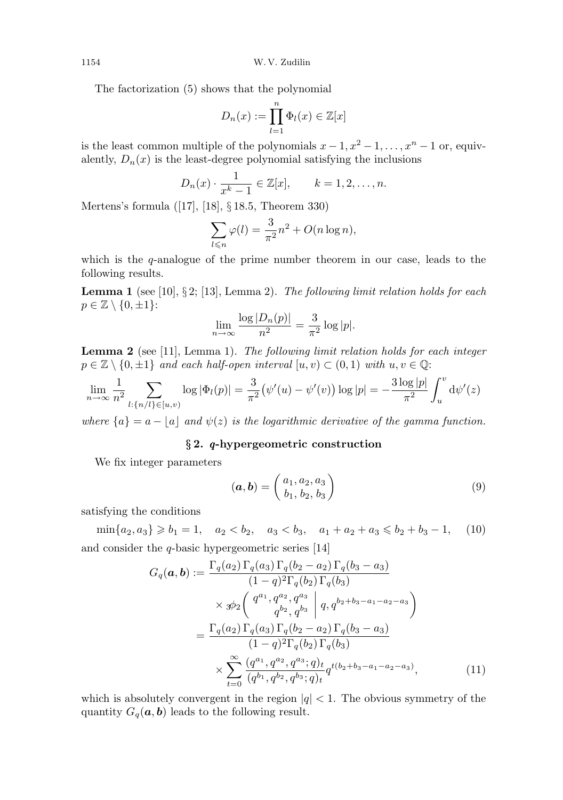1154 W. V. Zudilin

The factorization (5) shows that the polynomial

$$
D_n(x) := \prod_{l=1}^n \Phi_l(x) \in \mathbb{Z}[x]
$$

is the least common multiple of the polynomials  $x - 1, x^2 - 1, \ldots, x^n - 1$  or, equivalently,  $D_n(x)$  is the least-degree polynomial satisfying the inclusions

$$
D_n(x) \cdot \frac{1}{x^k - 1} \in \mathbb{Z}[x], \qquad k = 1, 2, \dots, n.
$$

Mertens's formula ([17], [18], § 18.5, Theorem 330)

$$
\sum_{l \leq n} \varphi(l) = \frac{3}{\pi^2} n^2 + O(n \log n),
$$

which is the  $q$ -analogue of the prime number theorem in our case, leads to the following results.

**Lemma 1** (see [10],  $\S 2$ ; [13], Lemma 2). The following limit relation holds for each  $p \in \mathbb{Z} \setminus \{0, \pm 1\}$ :

$$
\lim_{n \to \infty} \frac{\log |D_n(p)|}{n^2} = \frac{3}{\pi^2} \log |p|.
$$

Lemma 2 (see [11], Lemma 1). The following limit relation holds for each integer  $p \in \mathbb{Z} \setminus \{0, \pm 1\}$  and each half-open interval  $[u, v] \subset (0, 1)$  with  $u, v \in \mathbb{Q}$ :

$$
\lim_{n \to \infty} \frac{1}{n^2} \sum_{l:\{n/l\} \in [u,v)} \log |\Phi_l(p)| = \frac{3}{\pi^2} \big(\psi'(u) - \psi'(v)\big) \log |p| = -\frac{3 \log |p|}{\pi^2} \int_u^v \mathrm{d}\psi'(z)
$$

where  $\{a\} = a - |a|$  and  $\psi(z)$  is the logarithmic derivative of the gamma function.

## § 2. q-hypergeometric construction

We fix integer parameters

$$
(\mathbf{a}, \mathbf{b}) = \begin{pmatrix} a_1, a_2, a_3 \\ b_1, b_2, b_3 \end{pmatrix}
$$
 (9)

satisfying the conditions

 $\min\{a_2, a_3\} \geq b_1 = 1, \quad a_2 < b_2, \quad a_3 < b_3, \quad a_1 + a_2 + a_3 \leq b_2 + b_3 - 1, \quad (10)$ and consider the  $q$ -basic hypergeometric series [14]

$$
G_q(\mathbf{a}, \mathbf{b}) := \frac{\Gamma_q(a_2) \Gamma_q(a_3) \Gamma_q(b_2 - a_2) \Gamma_q(b_3 - a_3)}{(1 - q)^2 \Gamma_q(b_2) \Gamma_q(b_3)} \times \mathcal{B}_2 \left( \begin{array}{c} q^{a_1}, q^{a_2}, q^{a_3} \\ q^{b_2}, q^{b_3} \end{array} \middle| q, q^{b_2 + b_3 - a_1 - a_2 - a_3} \right)
$$
  
= 
$$
\frac{\Gamma_q(a_2) \Gamma_q(a_3) \Gamma_q(b_2 - a_2) \Gamma_q(b_3 - a_3)}{(1 - q)^2 \Gamma_q(b_2) \Gamma_q(b_3)} \times \sum_{t=0}^{\infty} \frac{(q^{a_1}, q^{a_2}, q^{a_3}; q)_t}{(q^{b_1}, q^{b_2}, q^{b_3}; q)_t} q^{t(b_2 + b_3 - a_1 - a_2 - a_3)}, \tag{11}
$$

which is absolutely convergent in the region  $|q| < 1$ . The obvious symmetry of the quantity  $G_q(\mathbf{a}, \mathbf{b})$  leads to the following result.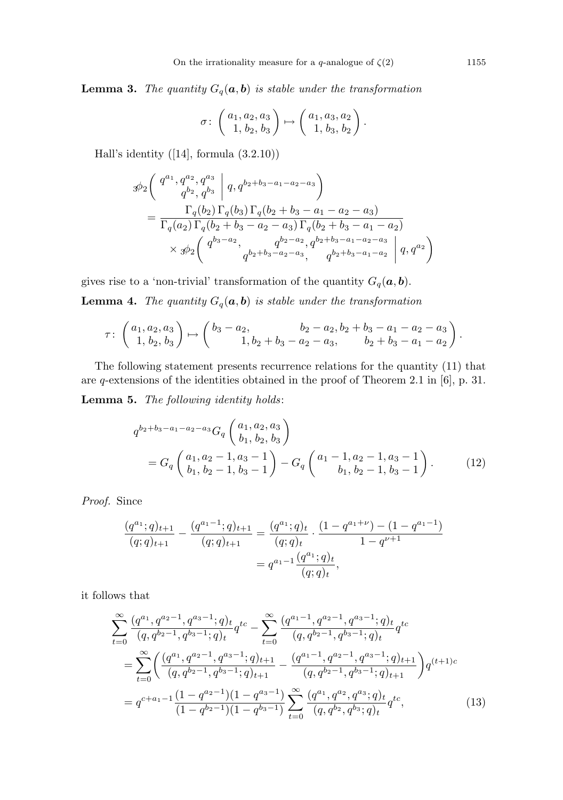**Lemma 3.** The quantity  $G_q(\mathbf{a}, \mathbf{b})$  is stable under the transformation

$$
\sigma \colon \left( \begin{array}{c} a_1, a_2, a_3 \\ 1, b_2, b_3 \end{array} \right) \mapsto \left( \begin{array}{c} a_1, a_3, a_2 \\ 1, b_3, b_2 \end{array} \right).
$$

Hall's identity ([14], formula (3.2.10))

$$
\begin{split}\n\mathcal{\mathcal{D}}_{2} & \left( \begin{array}{c} q^{a_{1}}, q^{a_{2}}, q^{a_{3}} \\ q^{b_{2}}, q^{b_{3}} \end{array} \middle| \ q, q^{b_{2}+b_{3}-a_{1}-a_{2}-a_{3}} \right) \\
& = \frac{\Gamma_{q}(b_{2}) \Gamma_{q}(b_{3}) \Gamma_{q}(b_{2}+b_{3}-a_{1}-a_{2}-a_{3})}{\Gamma_{q}(a_{2}) \Gamma_{q}(b_{2}+b_{3}-a_{2}-a_{3}) \Gamma_{q}(b_{2}+b_{3}-a_{1}-a_{2})} \\
& \times \mathcal{\mathcal{D}}_{2} & \left( \begin{array}{c} q^{b_{3}-a_{2}}, & q^{b_{2}-a_{2}}, q^{b_{2}+b_{3}-a_{1}-a_{2}-a_{3}} \\ q^{b_{2}+b_{3}-a_{2}-a_{3}}, & q^{b_{2}+b_{3}-a_{1}-a_{2}} \end{array} \middle| \ q, q^{a_{2}} \right)\n\end{split}
$$

gives rise to a 'non-trivial' transformation of the quantity  $G_q(\boldsymbol{a}, \boldsymbol{b})$ .

**Lemma 4.** The quantity  $G_q(a, b)$  is stable under the transformation

$$
\tau \colon \begin{pmatrix} a_1, a_2, a_3 \\ 1, b_2, b_3 \end{pmatrix} \mapsto \begin{pmatrix} b_3 - a_2, & b_2 - a_2, b_2 + b_3 - a_1 - a_2 - a_3 \\ 1, b_2 + b_3 - a_2 - a_3, & b_2 + b_3 - a_1 - a_2 \end{pmatrix}.
$$

The following statement presents recurrence relations for the quantity (11) that are q-extensions of the identities obtained in the proof of Theorem 2.1 in [6], p. 31.

Lemma 5. The following identity holds:

$$
q^{b_2+b_3-a_1-a_2-a_3}G_q\begin{pmatrix}a_1, a_2, a_3\\b_1, b_2, b_3\end{pmatrix}
$$
  
=  $G_q\begin{pmatrix}a_1, a_2-1, a_3-1\\b_1, b_2-1, b_3-1\end{pmatrix} - G_q\begin{pmatrix}a_1-1, a_2-1, a_3-1\\b_1, b_2-1, b_3-1\end{pmatrix}$ . (12)

Proof. Since

$$
\frac{(q^{a_1};q)_{t+1}}{(q;q)_{t+1}} - \frac{(q^{a_1-1};q)_{t+1}}{(q;q)_{t+1}} = \frac{(q^{a_1};q)_t}{(q;q)_t} \cdot \frac{(1-q^{a_1+\nu}) - (1-q^{a_1-1})}{1-q^{\nu+1}}
$$

$$
= q^{a_1-1} \frac{(q^{a_1};q)_t}{(q;q)_t},
$$

it follows that

$$
\sum_{t=0}^{\infty} \frac{(q^{a_1}, q^{a_2-1}, q^{a_3-1}; q)_t}{(q, q^{b_2-1}, q^{b_3-1}; q)_t} q^{tc} - \sum_{t=0}^{\infty} \frac{(q^{a_1-1}, q^{a_2-1}, q^{a_3-1}; q)_t}{(q, q^{b_2-1}, q^{b_3-1}; q)_t} q^{tc}
$$
\n
$$
= \sum_{t=0}^{\infty} \left( \frac{(q^{a_1}, q^{a_2-1}, q^{a_3-1}; q)_{t+1}}{(q, q^{b_2-1}, q^{b_3-1}; q)_{t+1}} - \frac{(q^{a_1-1}, q^{a_2-1}, q^{a_3-1}; q)_{t+1}}{(q, q^{b_2-1}, q^{b_3-1}; q)_{t+1}} \right) q^{(t+1)c}
$$
\n
$$
= q^{c+a_1-1} \frac{(1-q^{a_2-1})(1-q^{a_3-1})}{(1-q^{b_2-1})(1-q^{b_3-1})} \sum_{t=0}^{\infty} \frac{(q^{a_1}, q^{a_2}, q^{a_3}; q)_t}{(q, q^{b_2}, q^{b_3}; q)_t} q^{tc}, \qquad (13)
$$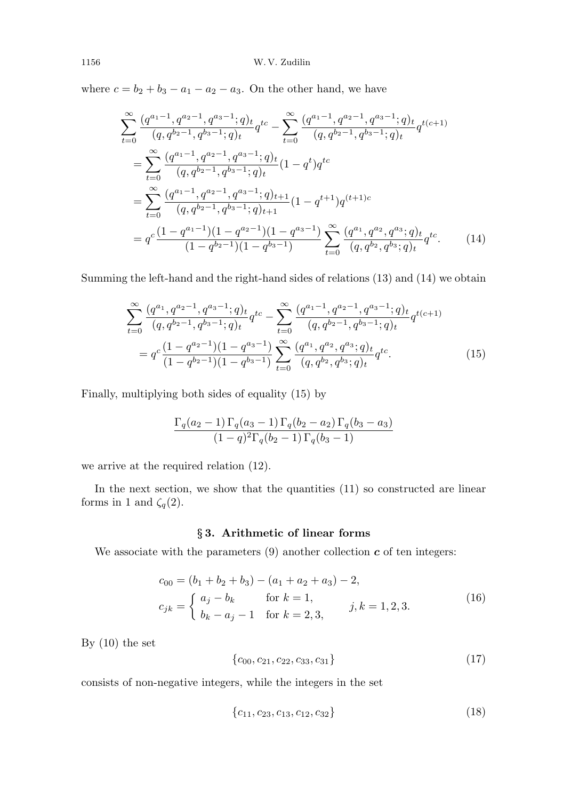where  $c = b_2 + b_3 - a_1 - a_2 - a_3$ . On the other hand, we have

$$
\sum_{t=0}^{\infty} \frac{(q^{a_1-1}, q^{a_2-1}, q^{a_3-1}; q)_t}{(q, q^{b_2-1}, q^{b_3-1}; q)_t} q^{tc} - \sum_{t=0}^{\infty} \frac{(q^{a_1-1}, q^{a_2-1}, q^{a_3-1}; q)_t}{(q, q^{b_2-1}, q^{b_3-1}; q)_t} q^{t(c+1)}
$$
\n
$$
= \sum_{t=0}^{\infty} \frac{(q^{a_1-1}, q^{a_2-1}, q^{a_3-1}; q)_t}{(q, q^{b_2-1}, q^{b_3-1}; q)_t} (1 - q^t) q^{tc}
$$
\n
$$
= \sum_{t=0}^{\infty} \frac{(q^{a_1-1}, q^{a_2-1}, q^{a_3-1}; q)_{t+1}}{(q, q^{b_2-1}, q^{b_3-1}; q)_{t+1}} (1 - q^{t+1}) q^{(t+1)c}
$$
\n
$$
= q^c \frac{(1 - q^{a_1-1})(1 - q^{a_2-1})(1 - q^{a_3-1})}{(1 - q^{b_2-1})(1 - q^{b_3-1})} \sum_{t=0}^{\infty} \frac{(q^{a_1}, q^{a_2}, q^{a_3}; q)_t}{(q, q^{b_2}, q^{b_3}; q)_t} q^{tc}.
$$
\n(14)

Summing the left-hand and the right-hand sides of relations (13) and (14) we obtain

$$
\sum_{t=0}^{\infty} \frac{(q^{a_1}, q^{a_2-1}, q^{a_3-1}; q)_t}{(q, q^{b_2-1}, q^{b_3-1}; q)_t} q^{tc} - \sum_{t=0}^{\infty} \frac{(q^{a_1-1}, q^{a_2-1}, q^{a_3-1}; q)_t}{(q, q^{b_2-1}, q^{b_3-1}; q)_t} q^{t(c+1)}
$$

$$
= q^c \frac{(1 - q^{a_2-1})(1 - q^{a_3-1})}{(1 - q^{b_2-1})(1 - q^{b_3-1})} \sum_{t=0}^{\infty} \frac{(q^{a_1}, q^{a_2}, q^{a_3}; q)_t}{(q, q^{b_2}, q^{b_3}; q)_t} q^{tc}.
$$
(15)

Finally, multiplying both sides of equality (15) by

$$
\frac{\Gamma_q(a_2-1)\Gamma_q(a_3-1)\Gamma_q(b_2-a_2)\Gamma_q(b_3-a_3)}{(1-q)^2\Gamma_q(b_2-1)\Gamma_q(b_3-1)}
$$

we arrive at the required relation (12).

In the next section, we show that the quantities  $(11)$  so constructed are linear forms in 1 and  $\zeta_q(2)$ .

## § 3. Arithmetic of linear forms

We associate with the parameters  $(9)$  another collection  $c$  of ten integers:

$$
c_{00} = (b_1 + b_2 + b_3) - (a_1 + a_2 + a_3) - 2,
$$
  
\n
$$
c_{jk} = \begin{cases} a_j - b_k & \text{for } k = 1, \\ b_k - a_j - 1 & \text{for } k = 2, 3, \end{cases}
$$
 (16)

By (10) the set

$$
\{c_{00}, c_{21}, c_{22}, c_{33}, c_{31}\}\tag{17}
$$

consists of non-negative integers, while the integers in the set

$$
\{c_{11}, c_{23}, c_{13}, c_{12}, c_{32}\}\tag{18}
$$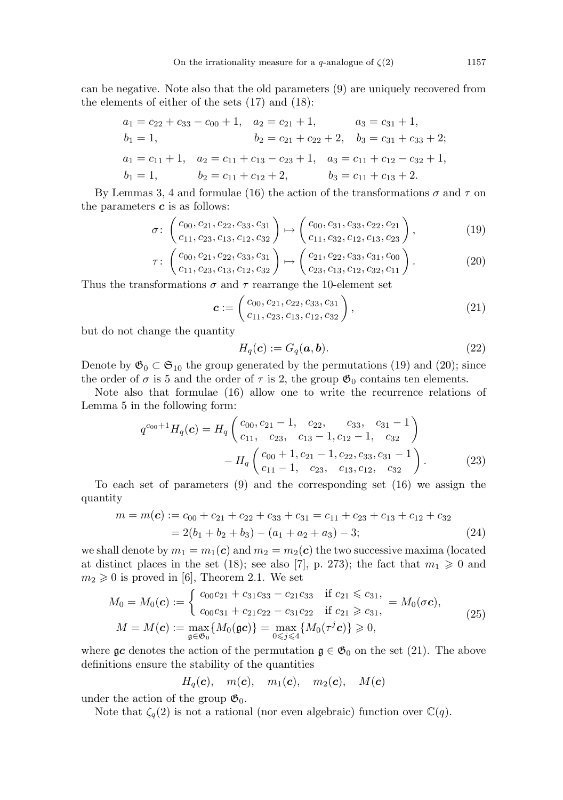can be negative. Note also that the old parameters (9) are uniquely recovered from the elements of either of the sets (17) and (18):

$$
a_1 = c_{22} + c_{33} - c_{00} + 1, \quad a_2 = c_{21} + 1, \quad a_3 = c_{31} + 1, \n b_1 = 1, \quad b_2 = c_{21} + c_{22} + 2, \quad b_3 = c_{31} + c_{33} + 2; \n a_1 = c_{11} + 1, \quad a_2 = c_{11} + c_{13} - c_{23} + 1, \quad a_3 = c_{11} + c_{12} - c_{32} + 1, \n b_1 = 1, \quad b_2 = c_{11} + c_{12} + 2, \quad b_3 = c_{11} + c_{13} + 2.
$$

By Lemmas 3, 4 and formulae (16) the action of the transformations  $\sigma$  and  $\tau$  on the parameters  $c$  is as follows:

$$
\sigma \colon \begin{pmatrix} c_{00}, c_{21}, c_{22}, c_{33}, c_{31} \\ c_{11}, c_{23}, c_{13}, c_{12}, c_{32} \end{pmatrix} \mapsto \begin{pmatrix} c_{00}, c_{31}, c_{33}, c_{22}, c_{21} \\ c_{11}, c_{32}, c_{12}, c_{13}, c_{23} \end{pmatrix}, \tag{19}
$$

$$
\tau \colon \begin{pmatrix} c_{00}, c_{21}, c_{22}, c_{33}, c_{31} \\ c_{11}, c_{23}, c_{13}, c_{12}, c_{32} \end{pmatrix} \mapsto \begin{pmatrix} c_{21}, c_{22}, c_{33}, c_{31}, c_{00} \\ c_{23}, c_{13}, c_{12}, c_{32}, c_{11} \end{pmatrix}.
$$
 (20)

Thus the transformations  $\sigma$  and  $\tau$  rearrange the 10-element set

$$
\boldsymbol{c} := \begin{pmatrix} c_{00}, c_{21}, c_{22}, c_{33}, c_{31} \\ c_{11}, c_{23}, c_{13}, c_{12}, c_{32} \end{pmatrix}, \tag{21}
$$

but do not change the quantity

$$
H_q(\mathbf{c}) := G_q(\mathbf{a}, \mathbf{b}).\tag{22}
$$

Denote by  $\mathfrak{G}_0 \subset \mathfrak{S}_{10}$  the group generated by the permutations (19) and (20); since the order of  $\sigma$  is 5 and the order of  $\tau$  is 2, the group  $\mathfrak{G}_0$  contains ten elements.

Note also that formulae (16) allow one to write the recurrence relations of Lemma 5 in the following form:

$$
q^{c_{00}+1}H_q(\boldsymbol{c}) = H_q\begin{pmatrix}c_{00}, c_{21}-1, & c_{22}, & c_{33}, & c_{31}-1\\c_{11}, & c_{23}, & c_{13}-1, c_{12}-1, & c_{32}\end{pmatrix} - H_q\begin{pmatrix}c_{00}+1, c_{21}-1, c_{22}, c_{33}, c_{31}-1\\c_{11}-1, & c_{23}, & c_{13}, c_{12}, & c_{32}\end{pmatrix}.
$$
(23)

To each set of parameters (9) and the corresponding set (16) we assign the quantity

$$
m = m(c) := c_{00} + c_{21} + c_{22} + c_{33} + c_{31} = c_{11} + c_{23} + c_{13} + c_{12} + c_{32}
$$
  
= 2(b<sub>1</sub> + b<sub>2</sub> + b<sub>3</sub>) - (a<sub>1</sub> + a<sub>2</sub> + a<sub>3</sub>) - 3; (24)

we shall denote by  $m_1 = m_1(c)$  and  $m_2 = m_2(c)$  the two successive maxima (located at distinct places in the set (18); see also [7], p. 273); the fact that  $m_1 \geq 0$  and  $m_2 \geq 0$  is proved in [6], Theorem 2.1. We set

$$
M_0 = M_0(\mathbf{c}) := \begin{cases} c_{00}c_{21} + c_{31}c_{33} - c_{21}c_{33} & \text{if } c_{21} \leq c_{31}, \\ c_{00}c_{31} + c_{21}c_{22} - c_{31}c_{22} & \text{if } c_{21} \geq c_{31}, \end{cases} = M_0(\sigma \mathbf{c}),
$$
  
\n
$$
M = M(\mathbf{c}) := \max_{\mathfrak{g} \in \mathfrak{G}_0} \{ M_0(\mathfrak{g} \mathbf{c}) \} = \max_{0 \leq j \leq 4} \{ M_0(\tau^j \mathbf{c}) \} \geq 0,
$$
\n(25)

where  $\mathfrak{g}c$  denotes the action of the permutation  $\mathfrak{g} \in \mathfrak{G}_0$  on the set (21). The above definitions ensure the stability of the quantities

$$
H_q(\mathbf{c}), \quad m(\mathbf{c}), \quad m_1(\mathbf{c}), \quad m_2(\mathbf{c}), \quad M(\mathbf{c})
$$

under the action of the group  $\mathfrak{G}_0$ .

Note that  $\zeta_q(2)$  is not a rational (nor even algebraic) function over  $\mathbb{C}(q)$ .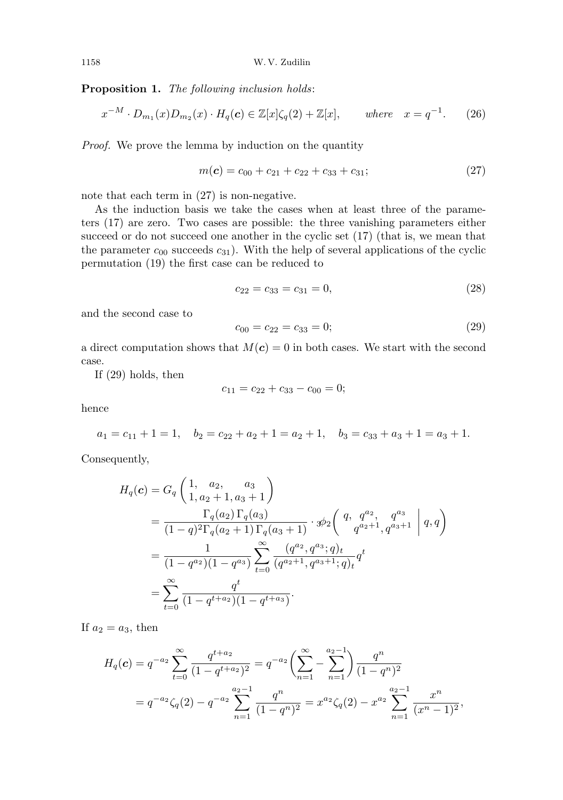Proposition 1. The following inclusion holds:

$$
x^{-M} \cdot D_{m_1}(x)D_{m_2}(x) \cdot H_q(\mathbf{c}) \in \mathbb{Z}[x]\zeta_q(2) + \mathbb{Z}[x], \qquad \text{where} \quad x = q^{-1}.
$$
 (26)

Proof. We prove the lemma by induction on the quantity

$$
m(\mathbf{c}) = c_{00} + c_{21} + c_{22} + c_{33} + c_{31}; \tag{27}
$$

note that each term in  $(27)$  is non-negative.

As the induction basis we take the cases when at least three of the parameters (17) are zero. Two cases are possible: the three vanishing parameters either succeed or do not succeed one another in the cyclic set (17) (that is, we mean that the parameter  $c_{00}$  succeeds  $c_{31}$ ). With the help of several applications of the cyclic permutation (19) the first case can be reduced to

$$
c_{22} = c_{33} = c_{31} = 0,\t\t(28)
$$

and the second case to

$$
c_{00} = c_{22} = c_{33} = 0; \t\t(29)
$$

a direct computation shows that  $M(c) = 0$  in both cases. We start with the second case.

If (29) holds, then

$$
c_{11} = c_{22} + c_{33} - c_{00} = 0;
$$

hence

 $a_1 = c_{11} + 1 = 1$ ,  $b_2 = c_{22} + a_2 + 1 = a_2 + 1$ ,  $b_3 = c_{33} + a_3 + 1 = a_3 + 1$ .

Consequently,

$$
H_q(\mathbf{c}) = G_q \left( \begin{matrix} 1, & a_2, & a_3 \\ 1, & a_2 + 1, & a_3 + 1 \end{matrix} \right)
$$
  
= 
$$
\frac{\Gamma_q(a_2) \Gamma_q(a_3)}{(1-q)^2 \Gamma_q(a_2+1) \Gamma_q(a_3+1)} \cdot \mathcal{B}_2 \left( \begin{matrix} q, & q^{a_2}, & q^{a_3} \\ q^{a_2+1}, & q^{a_3+1} \end{matrix} \middle| q, q \right)
$$
  
= 
$$
\frac{1}{(1-q^{a_2})(1-q^{a_3})} \sum_{t=0}^{\infty} \frac{(q^{a_2}, q^{a_3}; q)_t}{(q^{a_2+1}, q^{a_3+1}; q)_t} q^t
$$
  
= 
$$
\sum_{t=0}^{\infty} \frac{q^t}{(1-q^{t+a_2})(1-q^{t+a_3})}.
$$

If  $a_2 = a_3$ , then

$$
H_q(\mathbf{c}) = q^{-a_2} \sum_{t=0}^{\infty} \frac{q^{t+a_2}}{(1-q^{t+a_2})^2} = q^{-a_2} \left( \sum_{n=1}^{\infty} - \sum_{n=1}^{a_2-1} \right) \frac{q^n}{(1-q^n)^2}
$$
  
=  $q^{-a_2} \zeta_q(2) - q^{-a_2} \sum_{n=1}^{a_2-1} \frac{q^n}{(1-q^n)^2} = x^{a_2} \zeta_q(2) - x^{a_2} \sum_{n=1}^{a_2-1} \frac{x^n}{(x^n-1)^2},$ 

$$
1158 \\
$$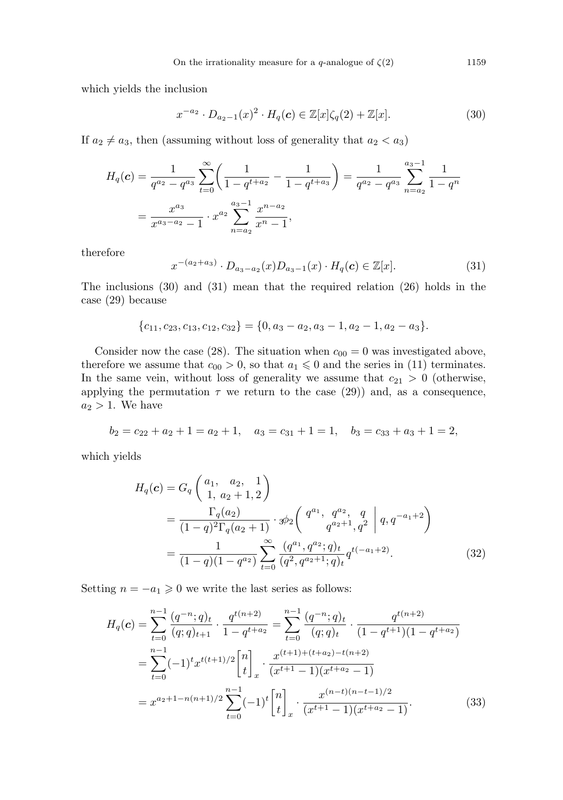which yields the inclusion

$$
x^{-a_2} \cdot D_{a_2-1}(x)^2 \cdot H_q(\mathbf{c}) \in \mathbb{Z}[x] \zeta_q(2) + \mathbb{Z}[x]. \tag{30}
$$

If  $a_2 \neq a_3$ , then (assuming without loss of generality that  $a_2 < a_3$ )

$$
H_q(\mathbf{c}) = \frac{1}{q^{a_2} - q^{a_3}} \sum_{t=0}^{\infty} \left( \frac{1}{1 - q^{t + a_2}} - \frac{1}{1 - q^{t + a_3}} \right) = \frac{1}{q^{a_2} - q^{a_3}} \sum_{n=a_2}^{a_3 - 1} \frac{1}{1 - q^n}
$$
  
= 
$$
\frac{x^{a_3}}{x^{a_3 - a_2} - 1} \cdot x^{a_2} \sum_{n=a_2}^{a_3 - 1} \frac{x^{n - a_2}}{x^n - 1},
$$

therefore

$$
x^{-(a_2+a_3)} \cdot D_{a_3-a_2}(x) D_{a_3-1}(x) \cdot H_q(\mathbf{c}) \in \mathbb{Z}[x]. \tag{31}
$$

The inclusions (30) and (31) mean that the required relation (26) holds in the case (29) because

$$
{c_{11}, c_{23}, c_{13}, c_{12}, c_{32}} = {0, a_3 - a_2, a_3 - 1, a_2 - 1, a_2 - a_3}.
$$

Consider now the case (28). The situation when  $c_{00} = 0$  was investigated above, therefore we assume that  $c_{00} > 0$ , so that  $a_1 \leq 0$  and the series in (11) terminates. In the same vein, without loss of generality we assume that  $c_{21} > 0$  (otherwise, applying the permutation  $\tau$  we return to the case (29)) and, as a consequence,  $a_2 > 1$ . We have

$$
b_2 = c_{22} + a_2 + 1 = a_2 + 1, \quad a_3 = c_{31} + 1 = 1, \quad b_3 = c_{33} + a_3 + 1 = 2,
$$

which yields

$$
H_q(\mathbf{c}) = G_q \begin{pmatrix} a_1, & a_2, & 1 \\ 1, & a_2 + 1, & 2 \end{pmatrix}
$$
  
= 
$$
\frac{\Gamma_q(a_2)}{(1-q)^2 \Gamma_q(a_2+1)} \cdot \mathcal{B}_2 \begin{pmatrix} q^{a_1}, & q^{a_2}, & q \\ q^{a_2+1}, & q^{2} \end{pmatrix} q, q^{-a_1+2}
$$
  
= 
$$
\frac{1}{(1-q)(1-q^{a_2})} \sum_{t=0}^{\infty} \frac{(q^{a_1}, q^{a_2}; q)_t}{(q^2, q^{a_2+1}; q)_t} q^{t(-a_1+2)}.
$$
(32)

Setting  $n = -a_1 \geq 0$  we write the last series as follows:

$$
H_q(\mathbf{c}) = \sum_{t=0}^{n-1} \frac{(q^{-n};q)_t}{(q;q)_{t+1}} \cdot \frac{q^{t(n+2)}}{1-q^{t+a_2}} = \sum_{t=0}^{n-1} \frac{(q^{-n};q)_t}{(q;q)_t} \cdot \frac{q^{t(n+2)}}{(1-q^{t+1})(1-q^{t+a_2})}
$$

$$
= \sum_{t=0}^{n-1} (-1)^t x^{t(t+1)/2} \begin{bmatrix} n \\ t \end{bmatrix}_x \cdot \frac{x^{(t+1)+(t+a_2)-t(n+2)}}{(x^{t+1}-1)(x^{t+a_2}-1)}
$$

$$
= x^{a_2+1-n(n+1)/2} \sum_{t=0}^{n-1} (-1)^t \begin{bmatrix} n \\ t \end{bmatrix}_x \cdot \frac{x^{(n-t)(n-t-1)/2}}{(x^{t+1}-1)(x^{t+a_2}-1)}.
$$
(33)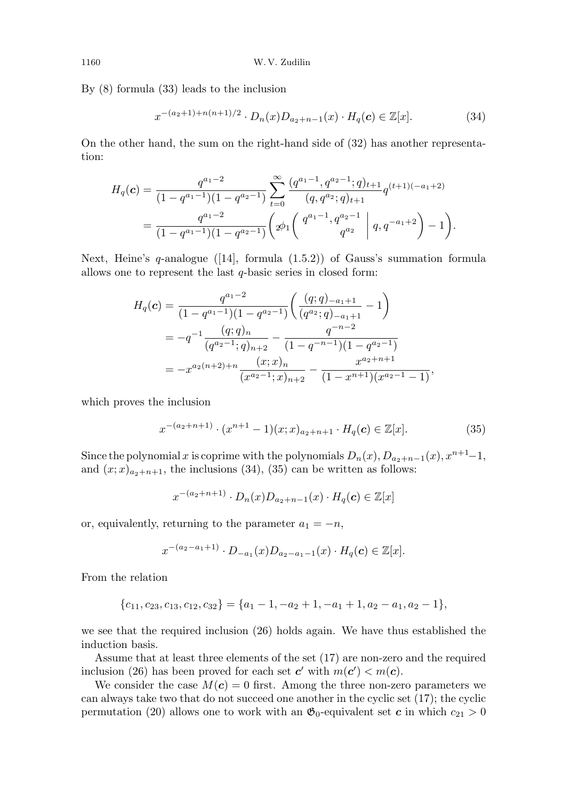By (8) formula (33) leads to the inclusion

$$
x^{-(a_2+1)+n(n+1)/2} \cdot D_n(x)D_{a_2+n-1}(x) \cdot H_q(\mathbf{c}) \in \mathbb{Z}[x].
$$
 (34)

On the other hand, the sum on the right-hand side of (32) has another representation:

$$
H_q(\mathbf{c}) = \frac{q^{a_1-2}}{(1-q^{a_1-1})(1-q^{a_2-1})} \sum_{t=0}^{\infty} \frac{(q^{a_1-1}, q^{a_2-1}; q)_{t+1}}{(q, q^{a_2}; q)_{t+1}} q^{(t+1)(-a_1+2)}
$$
  
= 
$$
\frac{q^{a_1-2}}{(1-q^{a_1-1})(1-q^{a_2-1})} \left( \phi_1 \left( \begin{array}{c} q^{a_1-1}, q^{a_2-1} \\ q^{a_2} \end{array} \middle| q, q^{-a_1+2} \right) - 1 \right).
$$

Next, Heine's q-analogue ([14], formula  $(1.5.2)$ ) of Gauss's summation formula allows one to represent the last  $q$ -basic series in closed form:

$$
H_q(\mathbf{c}) = \frac{q^{a_1 - 2}}{(1 - q^{a_1 - 1})(1 - q^{a_2 - 1})} \left( \frac{(q;q)_{-a_1 + 1}}{(q^{a_2};q)_{-a_1 + 1}} - 1 \right)
$$
  
=  $-q^{-1} \frac{(q;q)_n}{(q^{a_2 - 1};q)_{n+2}} - \frac{q^{-n-2}}{(1 - q^{-n-1})(1 - q^{a_2 - 1})}$   
=  $-x^{a_2(n+2)+n} \frac{(x;x)_n}{(x^{a_2 - 1};x)_{n+2}} - \frac{x^{a_2 + n+1}}{(1 - x^{n+1})(x^{a_2 - 1} - 1)},$ 

which proves the inclusion

$$
x^{-(a_2+n+1)} \cdot (x^{n+1}-1)(x;x)_{a_2+n+1} \cdot H_q(\mathbf{c}) \in \mathbb{Z}[x]. \tag{35}
$$

Since the polynomial x is coprime with the polynomials  $D_n(x)$ ,  $D_{a_2+n-1}(x)$ ,  $x^{n+1}-1$ , and  $(x; x)_{a_2+n+1}$ , the inclusions (34), (35) can be written as follows:

$$
x^{-(a_2+n+1)} \cdot D_n(x)D_{a_2+n-1}(x) \cdot H_q(\mathbf{c}) \in \mathbb{Z}[x]
$$

or, equivalently, returning to the parameter  $a_1 = -n$ ,

$$
x^{-(a_2-a_1+1)} \cdot D_{-a_1}(x)D_{a_2-a_1-1}(x) \cdot H_q(\mathbf{c}) \in \mathbb{Z}[x].
$$

From the relation

$$
\{c_{11}, c_{23}, c_{13}, c_{12}, c_{32}\} = \{a_1 - 1, -a_2 + 1, -a_1 + 1, a_2 - a_1, a_2 - 1\},\
$$

we see that the required inclusion (26) holds again. We have thus established the induction basis.

Assume that at least three elements of the set (17) are non-zero and the required inclusion (26) has been proved for each set  $c'$  with  $m(c') < m(c)$ .

We consider the case  $M(c) = 0$  first. Among the three non-zero parameters we can always take two that do not succeed one another in the cyclic set (17); the cyclic permutation (20) allows one to work with an  $\mathfrak{G}_0$ -equivalent set c in which  $c_{21} > 0$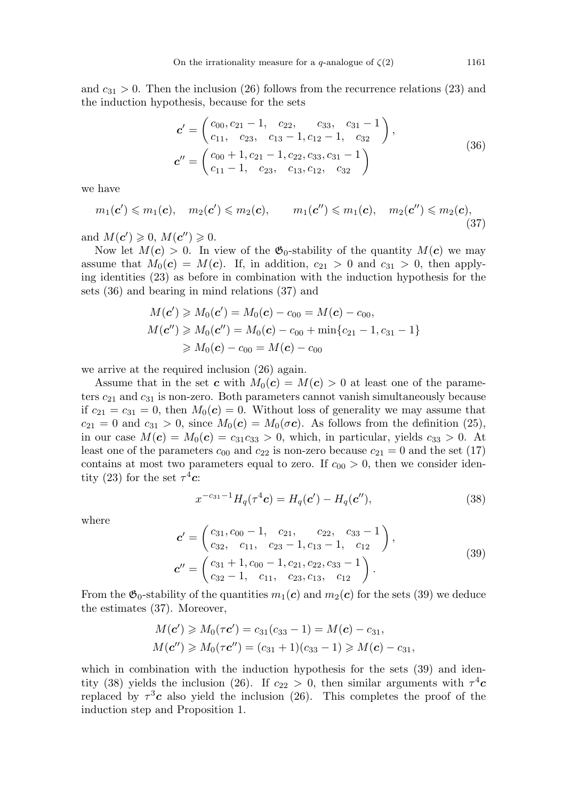and  $c_{31} > 0$ . Then the inclusion (26) follows from the recurrence relations (23) and the induction hypothesis, because for the sets

$$
\mathbf{c}' = \begin{pmatrix} c_{00}, c_{21} - 1, & c_{22}, & c_{33}, & c_{31} - 1 \\ c_{11}, & c_{23}, & c_{13} - 1, c_{12} - 1, & c_{32} \end{pmatrix},
$$
  
\n
$$
\mathbf{c}'' = \begin{pmatrix} c_{00} + 1, c_{21} - 1, c_{22}, c_{33}, c_{31} - 1 \\ c_{11} - 1, & c_{23}, & c_{13}, c_{12}, & c_{32} \end{pmatrix}
$$
\n(36)

we have

$$
m_1(\mathbf{c}') \leqslant m_1(\mathbf{c}), \quad m_2(\mathbf{c}') \leqslant m_2(\mathbf{c}), \qquad m_1(\mathbf{c}'') \leqslant m_1(\mathbf{c}), \quad m_2(\mathbf{c}'') \leqslant m_2(\mathbf{c}), \tag{37}
$$

and  $M(c') \geqslant 0$ ,  $M(c'') \geqslant 0$ .

Now let  $M(c) > 0$ . In view of the  $\mathfrak{G}_0$ -stability of the quantity  $M(c)$  we may assume that  $M_0(c) = M(c)$ . If, in addition,  $c_{21} > 0$  and  $c_{31} > 0$ , then applying identities (23) as before in combination with the induction hypothesis for the sets (36) and bearing in mind relations (37) and

$$
M(\mathbf{c}') \geqslant M_0(\mathbf{c}') = M_0(\mathbf{c}) - c_{00} = M(\mathbf{c}) - c_{00},
$$
  

$$
M(\mathbf{c}'') \geqslant M_0(\mathbf{c}'') = M_0(\mathbf{c}) - c_{00} + \min\{c_{21} - 1, c_{31} - 1\}
$$
  

$$
\geqslant M_0(\mathbf{c}) - c_{00} = M(\mathbf{c}) - c_{00}
$$

we arrive at the required inclusion (26) again.

Assume that in the set c with  $M_0(c) = M(c) > 0$  at least one of the parameters  $c_{21}$  and  $c_{31}$  is non-zero. Both parameters cannot vanish simultaneously because if  $c_{21} = c_{31} = 0$ , then  $M_0(c) = 0$ . Without loss of generality we may assume that  $c_{21} = 0$  and  $c_{31} > 0$ , since  $M_0(\mathbf{c}) = M_0(\mathbf{c}\mathbf{c})$ . As follows from the definition (25), in our case  $M(c) = M_0(c) = c_{31}c_{33} > 0$ , which, in particular, yields  $c_{33} > 0$ . At least one of the parameters  $c_{00}$  and  $c_{22}$  is non-zero because  $c_{21} = 0$  and the set (17) contains at most two parameters equal to zero. If  $c_{00} > 0$ , then we consider identity (23) for the set  $\tau^4 c$ :

$$
x^{-c_{31}-1}H_q(\tau^4 c) = H_q(c') - H_q(c''), \qquad (38)
$$

where

$$
\mathbf{c}' = \begin{pmatrix} c_{31}, c_{00} - 1, & c_{21}, & c_{22}, & c_{33} - 1 \\ c_{32}, & c_{11}, & c_{23} - 1, & c_{13} - 1, & c_{12} \end{pmatrix},
$$
  
\n
$$
\mathbf{c}'' = \begin{pmatrix} c_{31} + 1, c_{00} - 1, c_{21}, c_{22}, c_{33} - 1 \\ c_{32} - 1, & c_{11}, & c_{23}, c_{13}, & c_{12} \end{pmatrix}.
$$
\n(39)

From the  $\mathfrak{G}_0$ -stability of the quantities  $m_1(c)$  and  $m_2(c)$  for the sets (39) we deduce the estimates (37). Moreover,

$$
M(\mathbf{c}') \geq M_0(\tau \mathbf{c}') = c_{31}(c_{33} - 1) = M(\mathbf{c}) - c_{31},
$$
  

$$
M(\mathbf{c}'') \geq M_0(\tau \mathbf{c}'') = (c_{31} + 1)(c_{33} - 1) \geq M(\mathbf{c}) - c_{31},
$$

which in combination with the induction hypothesis for the sets  $(39)$  and identity (38) yields the inclusion (26). If  $c_{22} > 0$ , then similar arguments with  $\tau^4 c$ replaced by  $\tau^3 c$  also yield the inclusion (26). This completes the proof of the induction step and Proposition 1.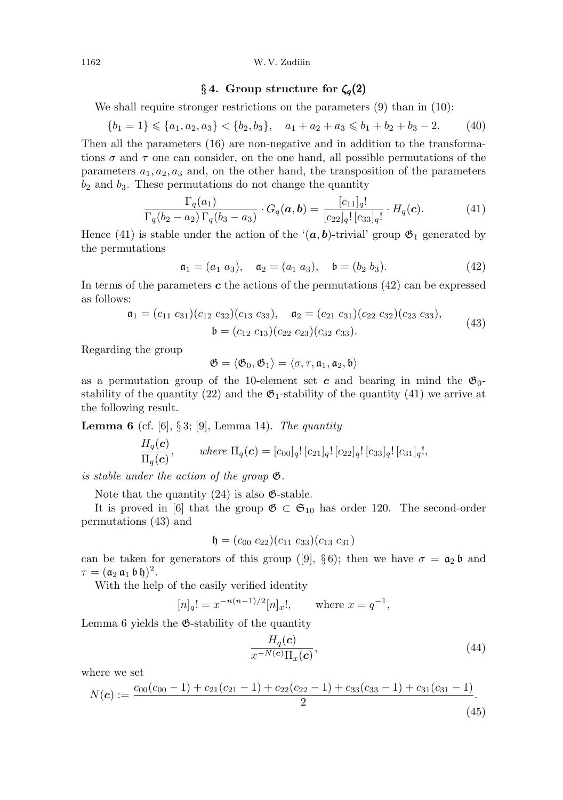#### 1162 W. V. Zudilin

## § 4. Group structure for  $\zeta_q(2)$

We shall require stronger restrictions on the parameters  $(9)$  than in  $(10)$ :

$$
\{b_1 = 1\} \leq a_1, a_2, a_3\} < \{b_2, b_3\}, \quad a_1 + a_2 + a_3 \leq b_1 + b_2 + b_3 - 2. \tag{40}
$$

Then all the parameters (16) are non-negative and in addition to the transformations  $\sigma$  and  $\tau$  one can consider, on the one hand, all possible permutations of the parameters  $a_1, a_2, a_3$  and, on the other hand, the transposition of the parameters  $b_2$  and  $b_3$ . These permutations do not change the quantity

$$
\frac{\Gamma_q(a_1)}{\Gamma_q(b_2 - a_2)\Gamma_q(b_3 - a_3)} \cdot G_q(\mathbf{a}, \mathbf{b}) = \frac{[c_{11}]_q!}{[c_{22}]_q! [c_{33}]_q!} \cdot H_q(\mathbf{c}). \tag{41}
$$

Hence (41) is stable under the action of the ' $(a, b)$ -trivial' group  $\mathfrak{G}_1$  generated by the permutations

$$
\mathfrak{a}_1 = (a_1 \ a_3), \quad \mathfrak{a}_2 = (a_1 \ a_3), \quad \mathfrak{b} = (b_2 \ b_3). \tag{42}
$$

In terms of the parameters  $c$  the actions of the permutations  $(42)$  can be expressed as follows:

$$
\mathfrak{a}_1 = (c_{11} \ c_{31})(c_{12} \ c_{32})(c_{13} \ c_{33}), \quad \mathfrak{a}_2 = (c_{21} \ c_{31})(c_{22} \ c_{32})(c_{23} \ c_{33}), \n\mathfrak{b} = (c_{12} \ c_{13})(c_{22} \ c_{23})(c_{32} \ c_{33}).
$$
\n(43)

Regarding the group

$$
\mathfrak{G}=\langle \mathfrak{G}_0,\mathfrak{G}_1\rangle=\langle \sigma,\tau,\mathfrak{a}_1,\mathfrak{a}_2,\mathfrak{b}\rangle
$$

as a permutation group of the 10-element set c and bearing in mind the  $\mathfrak{G}_0$ stability of the quantity (22) and the  $\mathfrak{G}_1$ -stability of the quantity (41) we arrive at the following result.

**Lemma 6** (cf. [6], § 3; [9], Lemma 14). The quantity

$$
\frac{H_q(\mathbf{c})}{\Pi_q(\mathbf{c})}, \qquad \text{where } \Pi_q(\mathbf{c}) = [c_{00}]_q! [c_{21}]_q! [c_{22}]_q! [c_{33}]_q! [c_{31}]_q!,
$$

is stable under the action of the group G.

Note that the quantity  $(24)$  is also  $\mathfrak{G}\text{-stable}$ .

It is proved in [6] that the group  $\mathfrak{G} \subset \mathfrak{S}_{10}$  has order 120. The second-order permutations (43) and

$$
\mathfrak{h} = (c_{00} \ c_{22})(c_{11} \ c_{33})(c_{13} \ c_{31})
$$

can be taken for generators of this group ([9], §6); then we have  $\sigma = \mathfrak{a}_2 \mathfrak{b}$  and  $\tau=(\mathfrak{a}_{2}\,\mathfrak{a}_{1}\,\mathfrak{b}\,\mathfrak{h})^{2}.$ 

With the help of the easily verified identity

$$
[n]_q! = x^{-n(n-1)/2} [n]_x!,
$$
 where  $x = q^{-1}$ ,

Lemma 6 yields the G-stability of the quantity

$$
\frac{H_q(\mathbf{c})}{x^{-N(\mathbf{c})}\Pi_x(\mathbf{c})},\tag{44}
$$

where we set

$$
N(c) := \frac{c_{00}(c_{00} - 1) + c_{21}(c_{21} - 1) + c_{22}(c_{22} - 1) + c_{33}(c_{33} - 1) + c_{31}(c_{31} - 1)}{2}.
$$
\n(45)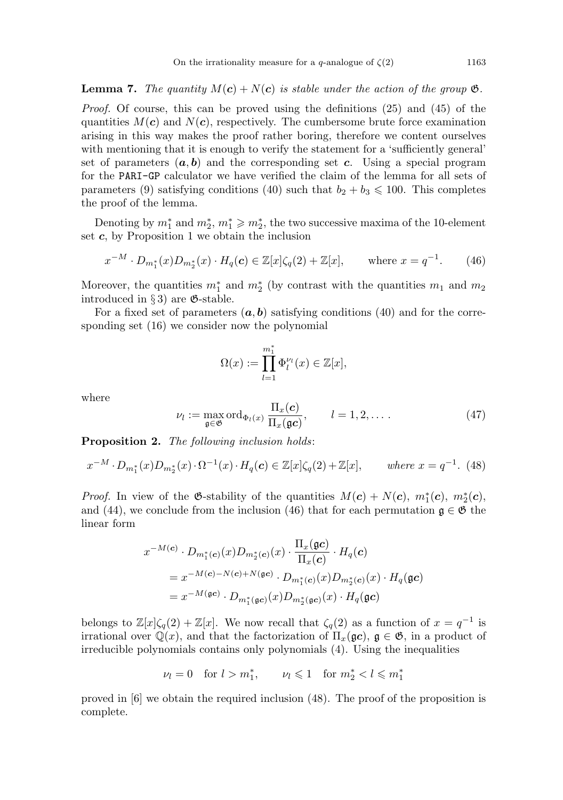**Lemma 7.** The quantity  $M(c) + N(c)$  is stable under the action of the group  $\mathfrak{G}$ .

Proof. Of course, this can be proved using the definitions (25) and (45) of the quantities  $M(c)$  and  $N(c)$ , respectively. The cumbersome brute force examination arising in this way makes the proof rather boring, therefore we content ourselves with mentioning that it is enough to verify the statement for a 'sufficiently general' set of parameters  $(a, b)$  and the corresponding set c. Using a special program for the PARI-GP calculator we have verified the claim of the lemma for all sets of parameters (9) satisfying conditions (40) such that  $b_2 + b_3 \leq 100$ . This completes the proof of the lemma.

Denoting by  $m_1^*$  and  $m_2^*$ ,  $m_1^* \geq m_2^*$ , the two successive maxima of the 10-element set  $c$ , by Proposition 1 we obtain the inclusion

$$
x^{-M} \cdot D_{m_1^*}(x)D_{m_2^*}(x) \cdot H_q(\mathbf{c}) \in \mathbb{Z}[x]\zeta_q(2) + \mathbb{Z}[x], \quad \text{where } x = q^{-1}.
$$
 (46)

Moreover, the quantities  $m_1^*$  and  $m_2^*$  (by contrast with the quantities  $m_1$  and  $m_2$ ) introduced in § 3) are  $\mathfrak{G}\text{-stable}$ .

For a fixed set of parameters  $(a, b)$  satisfying conditions (40) and for the corresponding set (16) we consider now the polynomial

$$
\Omega(x) := \prod_{l=1}^{m_1^*} \Phi_l^{\nu_l}(x) \in \mathbb{Z}[x],
$$

where

$$
\nu_l := \max_{\mathfrak{g} \in \mathfrak{G}} \text{ord}_{\Phi_l(x)} \frac{\Pi_x(\mathbf{c})}{\Pi_x(\mathfrak{g}\mathbf{c})}, \qquad l = 1, 2, \dots \tag{47}
$$

Proposition 2. The following inclusion holds:

$$
x^{-M} \cdot D_{m_1^*}(x) D_{m_2^*}(x) \cdot \Omega^{-1}(x) \cdot H_q(\mathbf{c}) \in \mathbb{Z}[x] \zeta_q(2) + \mathbb{Z}[x], \qquad \text{where } x = q^{-1}. \tag{48}
$$

*Proof.* In view of the  $\mathfrak{G}\text{-stability}$  of the quantities  $M(\mathbf{c}) + N(\mathbf{c}), m_1^*(\mathbf{c}), m_2^*(\mathbf{c}),$ and (44), we conclude from the inclusion (46) that for each permutation  $\mathfrak{g} \in \mathfrak{G}$  the linear form

$$
x^{-M(\mathbf{c})} \cdot D_{m_1^*(\mathbf{c})}(x) D_{m_2^*(\mathbf{c})}(x) \cdot \frac{\Pi_x(\mathbf{g}\mathbf{c})}{\Pi_x(\mathbf{c})} \cdot H_q(\mathbf{c})
$$
  
=  $x^{-M(\mathbf{c})-N(\mathbf{c})+N(\mathbf{g}\mathbf{c})} \cdot D_{m_1^*(\mathbf{c})}(x) D_{m_2^*(\mathbf{c})}(x) \cdot H_q(\mathbf{g}\mathbf{c})$   
=  $x^{-M(\mathbf{g}\mathbf{c})} \cdot D_{m_1^*(\mathbf{g}\mathbf{c})}(x) D_{m_2^*(\mathbf{g}\mathbf{c})}(x) \cdot H_q(\mathbf{g}\mathbf{c})$ 

belongs to  $\mathbb{Z}[x]\zeta_q(2) + \mathbb{Z}[x]$ . We now recall that  $\zeta_q(2)$  as a function of  $x = q^{-1}$  is irrational over  $\mathbb{Q}(x)$ , and that the factorization of  $\Pi_x(\mathfrak{g}c)$ ,  $\mathfrak{g} \in \mathfrak{G}$ , in a product of irreducible polynomials contains only polynomials (4). Using the inequalities

$$
\nu_l = 0 \quad \text{for } l > m_1^*, \qquad \nu_l \leq 1 \quad \text{for } m_2^* < l \leq m_1^*
$$

proved in [6] we obtain the required inclusion (48). The proof of the proposition is complete.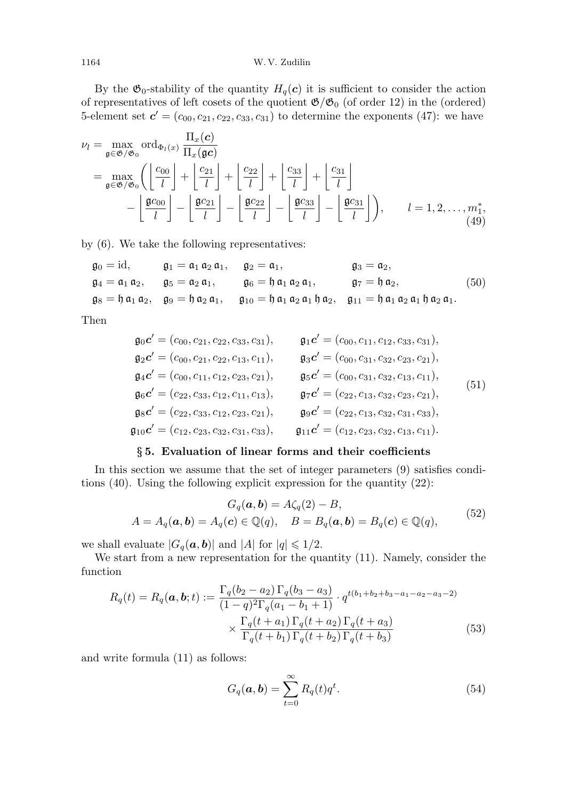By the  $\mathfrak{G}_0$ -stability of the quantity  $H_q(\mathbf{c})$  it is sufficient to consider the action of representatives of left cosets of the quotient  $\mathfrak{G}/\mathfrak{G}_0$  (of order 12) in the (ordered) 5-element set  $\mathbf{c}' = (c_{00}, c_{21}, c_{22}, c_{33}, c_{31})$  to determine the exponents (47): we have

$$
\nu_{l} = \max_{\mathfrak{g} \in \mathfrak{G}/\mathfrak{G}_{0}} \text{ord}_{\Phi_{l}(x)} \frac{\Pi_{x}(c)}{\Pi_{x}(\mathfrak{g}c)}
$$
  
= 
$$
\max_{\mathfrak{g} \in \mathfrak{G}/\mathfrak{G}_{0}} \left( \left\lfloor \frac{c_{00}}{l} \right\rfloor + \left\lfloor \frac{c_{21}}{l} \right\rfloor + \left\lfloor \frac{c_{22}}{l} \right\rfloor + \left\lfloor \frac{c_{33}}{l} \right\rfloor + \left\lfloor \frac{c_{31}}{l} \right\rfloor - \left\lfloor \frac{c_{31}}{l} \right\rfloor - \left\lfloor \frac{c_{32}}{l} \right\rfloor - \left\lfloor \frac{c_{33}}{l} \right\rfloor - \left\lfloor \frac{c_{31}}{l} \right\rfloor - \left\lfloor \frac{c_{31}}{l} \right\rfloor \right), \qquad l = 1, 2, \dots, m_{1}^{*}, \tag{49}
$$

by (6). We take the following representatives:

$$
\begin{array}{ll}\n\mathfrak{g}_0 = \mathrm{id}, & \mathfrak{g}_1 = \mathfrak{a}_1 \mathfrak{a}_2 \mathfrak{a}_1, & \mathfrak{g}_2 = \mathfrak{a}_1, & \mathfrak{g}_3 = \mathfrak{a}_2, \\
\mathfrak{g}_4 = \mathfrak{a}_1 \mathfrak{a}_2, & \mathfrak{g}_5 = \mathfrak{a}_2 \mathfrak{a}_1, & \mathfrak{g}_6 = \mathfrak{h} \mathfrak{a}_1 \mathfrak{a}_2 \mathfrak{a}_1, & \mathfrak{g}_7 = \mathfrak{h} \mathfrak{a}_2, \\
\mathfrak{g}_8 = \mathfrak{h} \mathfrak{a}_1 \mathfrak{a}_2, & \mathfrak{g}_9 = \mathfrak{h} \mathfrak{a}_2 \mathfrak{a}_1, & \mathfrak{g}_{10} = \mathfrak{h} \mathfrak{a}_1 \mathfrak{a}_2 \mathfrak{a}_1 \mathfrak{h} \mathfrak{a}_2, & \mathfrak{g}_{11} = \mathfrak{h} \mathfrak{a}_1 \mathfrak{a}_2 \mathfrak{a}_1 \mathfrak{h} \mathfrak{a}_2 \mathfrak{a}_1.\n\end{array} \tag{50}
$$

Then

$$
\mathfrak{g}_0 \mathbf{c}' = (c_{00}, c_{21}, c_{22}, c_{33}, c_{31}), \qquad \mathfrak{g}_1 \mathbf{c}' = (c_{00}, c_{11}, c_{12}, c_{33}, c_{31}), \n\mathfrak{g}_2 \mathbf{c}' = (c_{00}, c_{21}, c_{22}, c_{13}, c_{11}), \qquad \mathfrak{g}_3 \mathbf{c}' = (c_{00}, c_{31}, c_{32}, c_{23}, c_{21}), \n\mathfrak{g}_4 \mathbf{c}' = (c_{00}, c_{11}, c_{12}, c_{23}, c_{21}), \qquad \mathfrak{g}_5 \mathbf{c}' = (c_{00}, c_{31}, c_{32}, c_{13}, c_{11}), \n\mathfrak{g}_6 \mathbf{c}' = (c_{22}, c_{33}, c_{12}, c_{11}, c_{13}), \qquad \mathfrak{g}_7 \mathbf{c}' = (c_{22}, c_{13}, c_{32}, c_{23}, c_{21}), \n\mathfrak{g}_8 \mathbf{c}' = (c_{22}, c_{33}, c_{12}, c_{23}, c_{21}), \qquad \mathfrak{g}_9 \mathbf{c}' = (c_{22}, c_{13}, c_{32}, c_{31}, c_{33}), \n\mathfrak{g}_{10} \mathbf{c}' = (c_{12}, c_{23}, c_{32}, c_{31}, c_{33}), \qquad \mathfrak{g}_{11} \mathbf{c}' = (c_{12}, c_{23}, c_{32}, c_{13}, c_{11}).
$$
\n(51)

### § 5. Evaluation of linear forms and their coefficients

In this section we assume that the set of integer parameters (9) satisfies conditions (40). Using the following explicit expression for the quantity (22):

$$
G_q(\mathbf{a}, \mathbf{b}) = A\zeta_q(2) - B,
$$
  

$$
A = A_q(\mathbf{a}, \mathbf{b}) = A_q(\mathbf{c}) \in \mathbb{Q}(q), \quad B = B_q(\mathbf{a}, \mathbf{b}) = B_q(\mathbf{c}) \in \mathbb{Q}(q),
$$
(52)

we shall evaluate  $|G_q(\boldsymbol{a}, \boldsymbol{b})|$  and  $|A|$  for  $|q| \leq 1/2$ .

We start from a new representation for the quantity (11). Namely, consider the function

$$
R_q(t) = R_q(\mathbf{a}, \mathbf{b}; t) := \frac{\Gamma_q(b_2 - a_2) \Gamma_q(b_3 - a_3)}{(1 - q)^2 \Gamma_q(a_1 - b_1 + 1)} \cdot q^{t(b_1 + b_2 + b_3 - a_1 - a_2 - a_3 - 2)} \times \frac{\Gamma_q(t + a_1) \Gamma_q(t + a_2) \Gamma_q(t + a_3)}{\Gamma_q(t + b_1) \Gamma_q(t + b_2) \Gamma_q(t + b_3)}
$$
(53)

and write formula (11) as follows:

$$
G_q(\mathbf{a}, \mathbf{b}) = \sum_{t=0}^{\infty} R_q(t) q^t.
$$
 (54)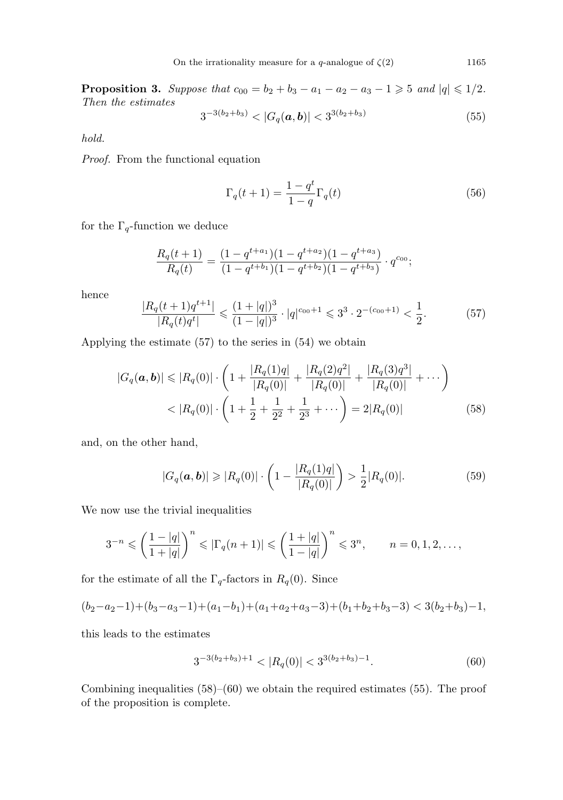**Proposition 3.** Suppose that  $c_{00} = b_2 + b_3 - a_1 - a_2 - a_3 - 1 \ge 5$  and  $|q| \le 1/2$ . Then the estimates

$$
3^{-3(b_2+b_3)} < |G_q(\boldsymbol{a}, \boldsymbol{b})| < 3^{3(b_2+b_3)} \tag{55}
$$

hold.

Proof. From the functional equation

$$
\Gamma_q(t+1) = \frac{1-q^t}{1-q} \Gamma_q(t)
$$
\n(56)

for the  $\Gamma_q$ -function we deduce

$$
\frac{R_q(t+1)}{R_q(t)} = \frac{(1-q^{t+a_1})(1-q^{t+a_2})(1-q^{t+a_3})}{(1-q^{t+b_1})(1-q^{t+b_2})(1-q^{t+b_3})} \cdot q^{c_{00}};
$$

hence

$$
\frac{|R_q(t+1)q^{t+1}|}{|R_q(t)q^t|} \leq \frac{(1+|q|)^3}{(1-|q|)^3} \cdot |q|^{c_{00}+1} \leq 3^3 \cdot 2^{-(c_{00}+1)} < \frac{1}{2}.\tag{57}
$$

Applying the estimate (57) to the series in (54) we obtain

$$
|G_q(\boldsymbol{a}, \boldsymbol{b})| \leq |R_q(0)| \cdot \left(1 + \frac{|R_q(1)q|}{|R_q(0)|} + \frac{|R_q(2)q^2|}{|R_q(0)|} + \frac{|R_q(3)q^3|}{|R_q(0)|} + \cdots \right)
$$
  
< 
$$
< |R_q(0)| \cdot \left(1 + \frac{1}{2} + \frac{1}{2^2} + \frac{1}{2^3} + \cdots \right) = 2|R_q(0)| \tag{58}
$$

and, on the other hand,

$$
|G_q(\mathbf{a}, \mathbf{b})| \geq |R_q(0)| \cdot \left(1 - \frac{|R_q(1)q|}{|R_q(0)|}\right) > \frac{1}{2}|R_q(0)|. \tag{59}
$$

We now use the trivial inequalities

$$
3^{-n} \leqslant \left(\frac{1-|q|}{1+|q|}\right)^n \leqslant |\Gamma_q(n+1)| \leqslant \left(\frac{1+|q|}{1-|q|}\right)^n \leqslant 3^n, \qquad n = 0, 1, 2, \dots,
$$

for the estimate of all the  $\Gamma_q$ -factors in  $R_q(0)$ . Since

$$
(b_2-a_2-1)+(b_3-a_3-1)+(a_1-b_1)+(a_1+a_2+a_3-3)+(b_1+b_2+b_3-3) < 3(b_2+b_3)-1,
$$

this leads to the estimates

$$
3^{-3(b_2+b_3)+1} < |R_q(0)| < 3^{3(b_2+b_3)-1}.\tag{60}
$$

Combining inequalities  $(58)$ – $(60)$  we obtain the required estimates  $(55)$ . The proof of the proposition is complete.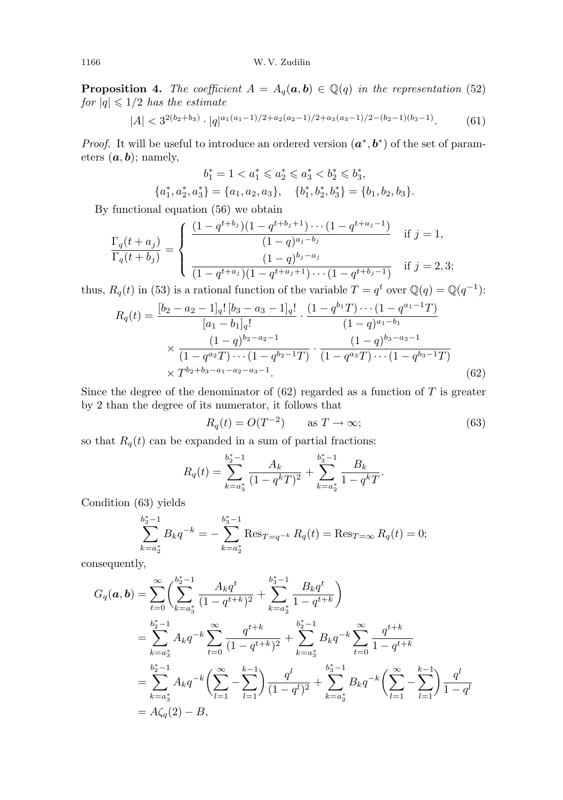**Proposition 4.** The coefficient  $A = A_q(a, b) \in \mathbb{Q}(q)$  in the representation (52) for  $|q| \leq 1/2$  has the estimate

$$
|A| < 3^{2(b_2+b_3)} \cdot |q|^{a_1(a_1-1)/2 + a_2(a_2-1)/2 + a_3(a_3-1)/2 - (b_2-1)(b_3-1)}.\tag{61}
$$

*Proof.* It will be useful to introduce an ordered version  $(a^*, b^*)$  of the set of parameters  $(a, b)$ ; namely,

$$
b_1^* = 1 < a_1^* \leqslant a_2^* \leqslant a_3^* < b_2^* \leqslant b_3^*,
$$
\n
$$
\{a_1^*, a_2^*, a_3^*\} = \{a_1, a_2, a_3\}, \quad \{b_1^*, b_2^*, b_3^*\} = \{b_1, b_2, b_3\}.
$$

By functional equation (56) we obtain

$$
\frac{\Gamma_q(t+a_j)}{\Gamma_q(t+b_j)} = \begin{cases}\n\frac{(1-q^{t+b_j})(1-q^{t+b_j+1})\cdots(1-q^{t+a_j-1})}{(1-q)^{a_j-b_j}} & \text{if } j=1, \\
\frac{(1-q)^{b_j-a_j}}{(1-q^{t+a_j})(1-q^{t+a_j+1})\cdots(1-q^{t+b_j-1})} & \text{if } j=2,3;\n\end{cases}
$$

thus,  $R_q(t)$  in (53) is a rational function of the variable  $T = q^t$  over  $\mathbb{Q}(q) = \mathbb{Q}(q^{-1})$ :

$$
R_q(t) = \frac{[b_2 - a_2 - 1]_q! [b_3 - a_3 - 1]_q!}{[a_1 - b_1]_q!} \cdot \frac{(1 - q^{b_1}T) \cdots (1 - q^{a_1 - 1}T)}{(1 - q)^{a_1 - b_1}}
$$
  
 
$$
\times \frac{(1 - q)^{b_2 - a_2 - 1}}{(1 - q^{a_2}T) \cdots (1 - q^{b_2 - 1}T)} \cdot \frac{(1 - q)^{b_3 - a_3 - 1}}{(1 - q^{a_3}T) \cdots (1 - q^{b_3 - 1}T)}
$$
  
 
$$
\times T^{b_2 + b_3 - a_1 - a_2 - a_3 - 1}.
$$
 (62)

Since the degree of the denominator of  $(62)$  regarded as a function of T is greater by 2 than the degree of its numerator, it follows that

$$
R_q(t) = O(T^{-2}) \qquad \text{as } T \to \infty;
$$
 (63)

so that  $R_q(t)$  can be expanded in a sum of partial fractions:

$$
R_q(t) = \sum_{k=a_3^*}^{b_2^*-1} \frac{A_k}{(1-q^kT)^2} + \sum_{k=a_2^*}^{b_3^*-1} \frac{B_k}{1-q^kT}.
$$

Condition (63) yields

$$
\sum_{k=a_2^*}^{b_3^*-1} B_k q^{-k} = -\sum_{k=a_2^*}^{b_3^*-1} \text{Res}_{T=q^{-k}} R_q(t) = \text{Res}_{T=\infty} R_q(t) = 0;
$$

consequently,

$$
G_q(\mathbf{a}, \mathbf{b}) = \sum_{t=0}^{\infty} \left( \sum_{k=a_3^*}^{b_2^*-1} \frac{A_k q^t}{(1-q^{t+k})^2} + \sum_{k=a_2^*}^{b_3^*-1} \frac{B_k q^t}{1-q^{t+k}} \right)
$$
  
\n
$$
= \sum_{k=a_3^*}^{b_2^*-1} A_k q^{-k} \sum_{t=0}^{\infty} \frac{q^{t+k}}{(1-q^{t+k})^2} + \sum_{k=a_3^*}^{b_2^*-1} B_k q^{-k} \sum_{t=0}^{\infty} \frac{q^{t+k}}{1-q^{t+k}}
$$
  
\n
$$
= \sum_{k=a_3^*}^{b_2^*-1} A_k q^{-k} \left( \sum_{l=1}^{\infty} - \sum_{l=1}^{k-1} \right) \frac{q^l}{(1-q^l)^2} + \sum_{k=a_2^*}^{b_3^*-1} B_k q^{-k} \left( \sum_{l=1}^{\infty} - \sum_{l=1}^{k-1} \right) \frac{q^l}{1-q^l}
$$
  
\n
$$
= A\zeta_q(2) - B,
$$

$$
1166\,
$$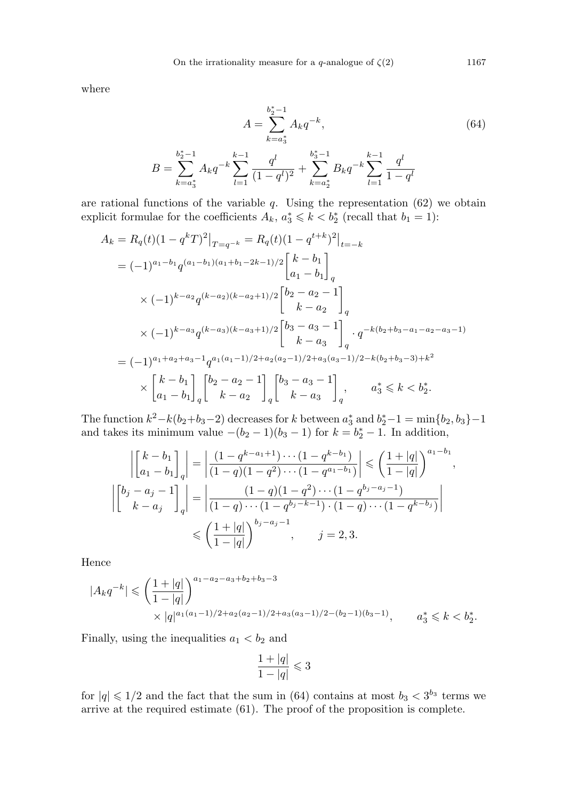where

 $B =$ 

$$
A = \sum_{k=a_3^*}^{b_2^*-1} A_k q^{-k},
$$
  
\n
$$
\sum_{k=a_3^*}^{b_2^*-1} A_k q^{-k} \sum_{l=1}^{k-1} \frac{q^l}{(1-q^l)^2} + \sum_{k=a_2^*}^{b_3^*-1} B_k q^{-k} \sum_{l=1}^{k-1} \frac{q^l}{1-q^l}
$$
 (64)

are rational functions of the variable  $q$ . Using the representation  $(62)$  we obtain explicit formulae for the coefficients  $A_k$ ,  $a_3^* \leq k < b_2^*$  (recall that  $b_1 = 1$ ):

$$
A_k = R_q(t)(1 - q^k T)^2 \Big|_{T=q^{-k}} = R_q(t)(1 - q^{t+k})^2 \Big|_{t=-k}
$$
  
\n
$$
= (-1)^{a_1 - b_1} q^{(a_1 - b_1)(a_1 + b_1 - 2k - 1)/2} \begin{bmatrix} k - b_1 \\ a_1 - b_1 \end{bmatrix}_q
$$
  
\n
$$
\times (-1)^{k-a_2} q^{(k-a_2)(k-a_2+1)/2} \begin{bmatrix} b_2 - a_2 - 1 \\ k - a_2 \end{bmatrix}_q
$$
  
\n
$$
\times (-1)^{k-a_3} q^{(k-a_3)(k-a_3+1)/2} \begin{bmatrix} b_3 - a_3 - 1 \\ k - a_3 \end{bmatrix}_q \cdot q^{-k(b_2 + b_3 - a_1 - a_2 - a_3 - 1)}
$$
  
\n
$$
= (-1)^{a_1 + a_2 + a_3 - 1} q^{a_1(a_1 - 1)/2 + a_2(a_2 - 1)/2 + a_3(a_3 - 1)/2 - k(b_2 + b_3 - 3) + k^2}
$$
  
\n
$$
\times \begin{bmatrix} k - b_1 \\ a_1 - b_1 \end{bmatrix}_q \begin{bmatrix} b_2 - a_2 - 1 \\ k - a_2 \end{bmatrix}_q \begin{bmatrix} b_3 - a_3 - 1 \\ k - a_3 \end{bmatrix}_q, \qquad a_3^* \leq k < b_2^*.
$$

The function  $k^2 - k(b_2+b_3-2)$  decreases for k between  $a_3^*$  $a_3^*$  and  $b_2^* - 1 = \min\{b_2, b_3\} - 1$ and takes its minimum value  $-(b_2-1)(b_3-1)$  for  $k = b_2^* - 1$ . In addition,

$$
\left| \begin{bmatrix} k-b_1 \\ a_1-b_1 \end{bmatrix}_q \right| = \left| \frac{(1-q^{k-a_1+1})\cdots(1-q^{k-b_1})}{(1-q)(1-q^2)\cdots(1-q^{a_1-b_1})} \right| \leq \left( \frac{1+|q|}{1-|q|} \right)^{a_1-b_1},
$$
  

$$
\left| \begin{bmatrix} b_j - a_j - 1 \\ k-a_j \end{bmatrix}_q \right| = \left| \frac{(1-q)(1-q^2)\cdots(1-q^{b_j-a_j-1})}{(1-q)\cdots(1-q^{b_j-k-1})\cdot(1-q)\cdots(1-q^{k-b_j})} \right|
$$
  

$$
\leq \left( \frac{1+|q|}{1-|q|} \right)^{b_j-a_j-1}, \qquad j=2,3.
$$

Hence

$$
|A_k q^{-k}| \leqslant \left(\frac{1+|q|}{1-|q|}\right)^{a_1-a_2-a_3+b_2+b_3-3}
$$
  
 
$$
\times |q|^{a_1(a_1-1)/2+a_2(a_2-1)/2+a_3(a_3-1)/2-(b_2-1)(b_3-1)}, \qquad a_3^* \leqslant k < b_2^*.
$$

Finally, using the inequalities  $a_1 < b_2$  and

$$
\frac{1+|q|}{1-|q|}\leqslant 3
$$

for  $|q| \leq 1/2$  and the fact that the sum in (64) contains at most  $b_3 < 3^{b_3}$  terms we arrive at the required estimate (61). The proof of the proposition is complete.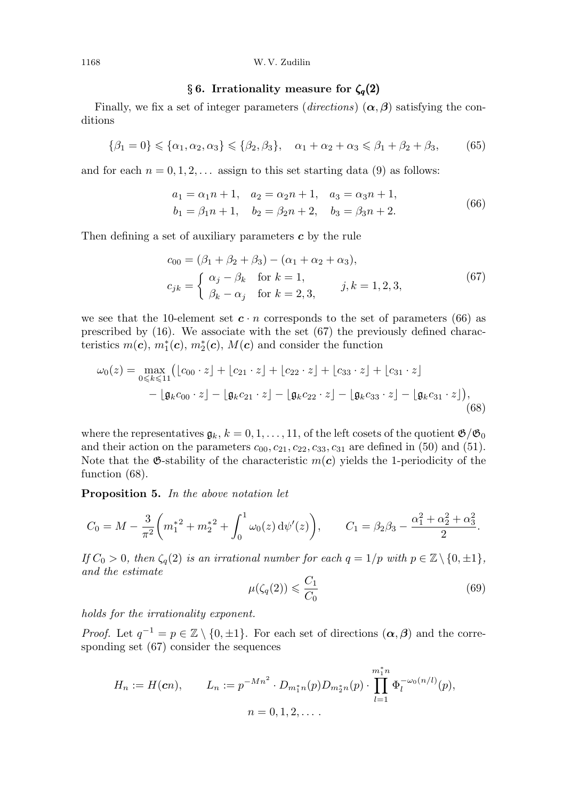#### 1168 W. V. Zudilin

# § 6. Irrationality measure for  $\zeta_q(2)$

Finally, we fix a set of integer parameters (directions)  $(\alpha, \beta)$  satisfying the conditions

$$
\{\beta_1 = 0\} \le \{\alpha_1, \alpha_2, \alpha_3\} \le \{\beta_2, \beta_3\}, \quad \alpha_1 + \alpha_2 + \alpha_3 \le \beta_1 + \beta_2 + \beta_3,\tag{65}
$$

and for each  $n = 0, 1, 2, \ldots$  assign to this set starting data (9) as follows:

$$
a_1 = \alpha_1 n + 1, \quad a_2 = \alpha_2 n + 1, \quad a_3 = \alpha_3 n + 1, b_1 = \beta_1 n + 1, \quad b_2 = \beta_2 n + 2, \quad b_3 = \beta_3 n + 2.
$$
 (66)

Then defining a set of auxiliary parameters  $c$  by the rule

$$
c_{00} = (\beta_1 + \beta_2 + \beta_3) - (\alpha_1 + \alpha_2 + \alpha_3),
$$
  
\n
$$
c_{jk} = \begin{cases} \alpha_j - \beta_k & \text{for } k = 1, \\ \beta_k - \alpha_j & \text{for } k = 2, 3, \end{cases}
$$
 (67)

we see that the 10-element set  $c \cdot n$  corresponds to the set of parameters (66) as prescribed by (16). We associate with the set (67) the previously defined charac- $\tilde{t}$  teristics  $m(\boldsymbol{c}), m^*_1(\boldsymbol{c}), m^*_2(\boldsymbol{c}), M(\boldsymbol{c})$  and consider the function

$$
\omega_0(z) = \max_{0 \le k \le 11} \left( \lfloor c_{00} \cdot z \rfloor + \lfloor c_{21} \cdot z \rfloor + \lfloor c_{22} \cdot z \rfloor + \lfloor c_{33} \cdot z \rfloor + \lfloor c_{31} \cdot z \rfloor - \lfloor \mathfrak{g}_k c_{00} \cdot z \rfloor - \lfloor \mathfrak{g}_k c_{21} \cdot z \rfloor - \lfloor \mathfrak{g}_k c_{22} \cdot z \rfloor - \lfloor \mathfrak{g}_k c_{33} \cdot z \rfloor - \lfloor \mathfrak{g}_k c_{31} \cdot z \rfloor \right),\tag{68}
$$

where the representatives  $\mathfrak{g}_k$ ,  $k = 0, 1, \ldots, 11$ , of the left cosets of the quotient  $\mathfrak{G}/\mathfrak{G}_0$ and their action on the parameters  $c_{00}, c_{21}, c_{22}, c_{33}, c_{31}$  are defined in (50) and (51). Note that the  $\mathfrak{G}\text{-stability}$  of the characteristic  $m(\mathbf{c})$  yields the 1-periodicity of the function (68).

Proposition 5. In the above notation let

$$
C_0 = M - \frac{3}{\pi^2} \left( m_1^{*2} + m_2^{*2} + \int_0^1 \omega_0(z) \, d\psi'(z) \right), \qquad C_1 = \beta_2 \beta_3 - \frac{\alpha_1^2 + \alpha_2^2 + \alpha_3^2}{2}.
$$

If  $C_0 > 0$ , then  $\zeta_q(2)$  is an irrational number for each  $q = 1/p$  with  $p \in \mathbb{Z} \setminus \{0, \pm 1\}$ , and the estimate

$$
\mu(\zeta_q(2)) \leqslant \frac{C_1}{C_0} \tag{69}
$$

holds for the irrationality exponent.

*Proof.* Let  $q^{-1} = p \in \mathbb{Z} \setminus \{0, \pm 1\}$ . For each set of directions  $(\alpha, \beta)$  and the corresponding set (67) consider the sequences

$$
H_n := H(\mathbf{c}n), \qquad L_n := p^{-Mn^2} \cdot D_{m_1^*n}(p) D_{m_2^*n}(p) \cdot \prod_{l=1}^{m_1^*n} \Phi_l^{-\omega_0(n/l)}(p),
$$

$$
n = 0, 1, 2, \dots.
$$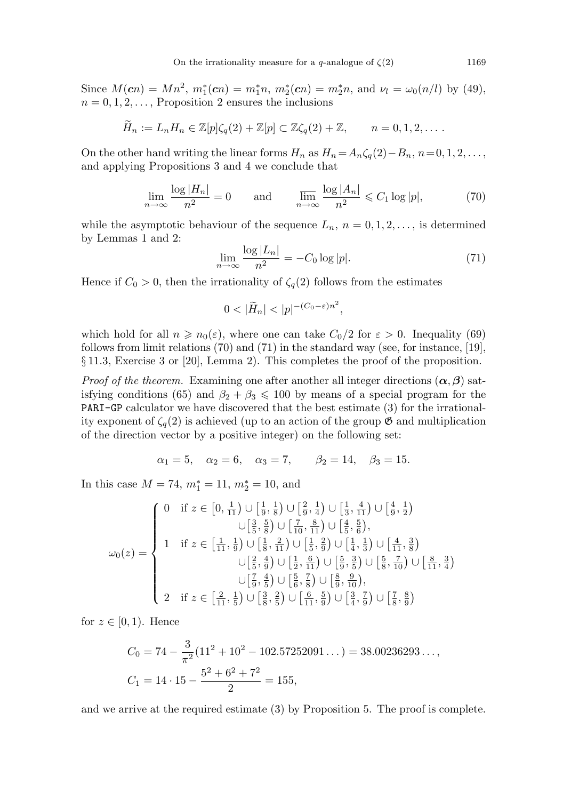Since  $M(\mathbf{c}n) = Mn^2$ ,  $m_1^*(\mathbf{c}n) = m_1^*n$ ,  $m_2^*(\mathbf{c}n) = m_2^*n$ , and  $\nu_l = \omega_0(n/l)$  by (49),  $n = 0, 1, 2, \ldots$ , Proposition 2 ensures the inclusions

$$
\widetilde{H}_n := L_n H_n \in \mathbb{Z}[p]\zeta_q(2) + \mathbb{Z}[p] \subset \mathbb{Z}\zeta_q(2) + \mathbb{Z}, \qquad n = 0, 1, 2, \dots.
$$

On the other hand writing the linear forms  $H_n$  as  $H_n = A_n \zeta_q(2) - B_n$ ,  $n = 0, 1, 2, \ldots$ , and applying Propositions 3 and 4 we conclude that

$$
\lim_{n \to \infty} \frac{\log |H_n|}{n^2} = 0 \quad \text{and} \quad \frac{\lim_{n \to \infty} \frac{\log |A_n|}{n^2} \leq C_1 \log |p|,
$$
\n(70)

while the asymptotic behaviour of the sequence  $L_n$ ,  $n = 0, 1, 2, \ldots$ , is determined by Lemmas 1 and 2:

$$
\lim_{n \to \infty} \frac{\log |L_n|}{n^2} = -C_0 \log |p|.
$$
\n(71)

Hence if  $C_0 > 0$ , then the irrationality of  $\zeta_q(2)$  follows from the estimates

$$
0<|\widetilde{H}_n|<|p|^{-(C_0-\varepsilon)n^2},
$$

which hold for all  $n \ge n_0(\varepsilon)$ , where one can take  $C_0/2$  for  $\varepsilon > 0$ . Inequality (69) follows from limit relations (70) and (71) in the standard way (see, for instance, [19], § 11.3, Exercise 3 or [20], Lemma 2). This completes the proof of the proposition.

*Proof of the theorem.* Examining one after another all integer directions  $(\alpha, \beta)$  satisfying conditions (65) and  $\beta_2 + \beta_3 \leq 100$  by means of a special program for the PARI-GP calculator we have discovered that the best estimate (3) for the irrationality exponent of  $\zeta_q(2)$  is achieved (up to an action of the group  $\mathfrak{G}$  and multiplication of the direction vector by a positive integer) on the following set:

$$
\alpha_1 = 5
$$
,  $\alpha_2 = 6$ ,  $\alpha_3 = 7$ ,  $\beta_2 = 14$ ,  $\beta_3 = 15$ .

In this case  $M = 74$ ,  $m_1^* = 11$ ,  $m_2^* = 10$ , and

$$
\omega_0(z) = \begin{cases}\n0 & \text{if } z \in \left[0, \frac{1}{11}\right) \cup \left[\frac{1}{9}, \frac{1}{8}\right) \cup \left[\frac{2}{9}, \frac{1}{4}\right) \cup \left[\frac{1}{3}, \frac{4}{11}\right) \cup \left[\frac{4}{9}, \frac{1}{2}\right) \\
& \cup \left[\frac{3}{5}, \frac{5}{8}\right) \cup \left[\frac{7}{10}, \frac{8}{11}\right) \cup \left[\frac{4}{5}, \frac{5}{6}\right), \\
1 & \text{if } z \in \left[\frac{1}{11}, \frac{1}{9}\right) \cup \left[\frac{1}{8}, \frac{2}{11}\right) \cup \left[\frac{1}{5}, \frac{2}{9}\right) \cup \left[\frac{1}{4}, \frac{1}{3}\right) \cup \left[\frac{4}{11}, \frac{3}{8}\right) \\
& \cup \left[\frac{2}{5}, \frac{4}{9}\right) \cup \left[\frac{1}{2}, \frac{6}{11}\right) \cup \left[\frac{5}{9}, \frac{3}{8}\right) \cup \left[\frac{5}{8}, \frac{7}{10}\right) \cup \left[\frac{8}{11}, \frac{3}{4}\right) \\
& \cup \left[\frac{7}{9}, \frac{4}{5}\right) \cup \left[\frac{5}{6}, \frac{7}{8}\right) \cup \left[\frac{8}{9}, \frac{9}{10}\right), \\
2 & \text{if } z \in \left[\frac{2}{11}, \frac{1}{5}\right) \cup \left[\frac{3}{8}, \frac{2}{5}\right) \cup \left[\frac{6}{11}, \frac{5}{9}\right) \cup \left[\frac{3}{4}, \frac{7}{9}\right) \cup \left[\frac{7}{8}, \frac{8}{9}\right)\n\end{cases}
$$

for  $z \in [0,1)$ . Hence

$$
C_0 = 74 - \frac{3}{\pi^2} (11^2 + 10^2 - 102.57252091...) = 38.00236293...,
$$
  
\n
$$
C_1 = 14 \cdot 15 - \frac{5^2 + 6^2 + 7^2}{2} = 155,
$$

and we arrive at the required estimate (3) by Proposition 5. The proof is complete.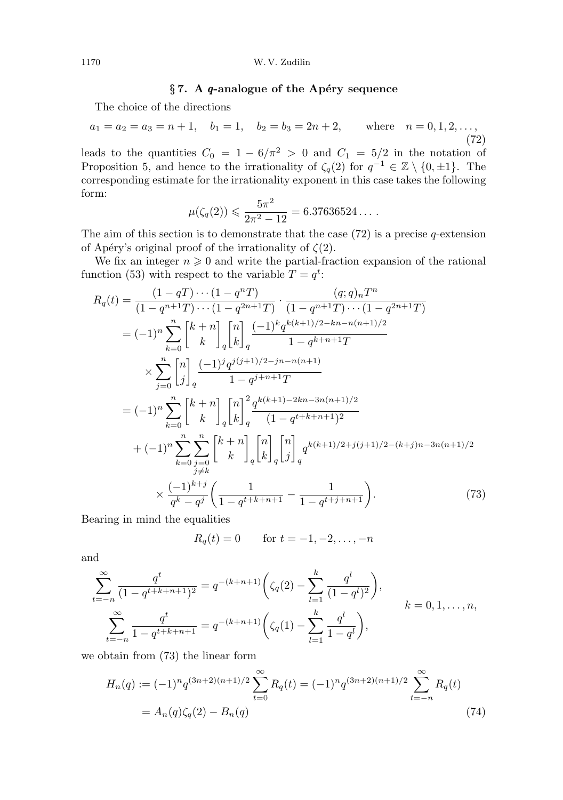# $\S 7.$  A q-analogue of the Apéry sequence

The choice of the directions

$$
a_1 = a_2 = a_3 = n + 1
$$
,  $b_1 = 1$ ,  $b_2 = b_3 = 2n + 2$ , where  $n = 0, 1, 2, ...,$  (72)

leads to the quantities  $C_0 = 1 - 6/\pi^2 > 0$  and  $C_1 = 5/2$  in the notation of Proposition 5, and hence to the irrationality of  $\zeta_q(2)$  for  $q^{-1} \in \mathbb{Z} \setminus \{0, \pm 1\}$ . The corresponding estimate for the irrationality exponent in this case takes the following form:

$$
\mu(\zeta_q(2)) \leqslant \frac{5\pi^2}{2\pi^2 - 12} = 6.37636524\dots.
$$

The aim of this section is to demonstrate that the case  $(72)$  is a precise q-extension of Apéry's original proof of the irrationality of  $\zeta(2)$ .

We fix an integer  $n \geq 0$  and write the partial-fraction expansion of the rational function (53) with respect to the variable  $T = q^t$ :

$$
R_q(t) = \frac{(1-qT)\cdots(1-q^nT)}{(1-q^{n+1}T)\cdots(1-q^{2n+1}T)} \cdot \frac{(q;q)_nT^n}{(1-q^{n+1}T)\cdots(1-q^{2n+1}T)}
$$
  
\n
$$
= (-1)^n \sum_{k=0}^n \begin{bmatrix} k+n \\ k \end{bmatrix} \begin{bmatrix} n \\ k \end{bmatrix} \frac{(-1)^k q^{k(k+1)/2-kn-n(n+1)/2}}{1-q^{k+n+1}T}
$$
  
\n
$$
\times \sum_{j=0}^n \begin{bmatrix} n \\ j \end{bmatrix} \begin{bmatrix} (-1)^j q^{j(j+1)/2-jn-n(n+1)} \\ 1-q^{j+n+1}T \end{bmatrix}
$$
  
\n
$$
= (-1)^n \sum_{k=0}^n \begin{bmatrix} k+n \\ k \end{bmatrix} \begin{bmatrix} n \\ k \end{bmatrix} \begin{bmatrix} 2 \\ q \end{bmatrix} \frac{q^{k(k+1)-2kn-3n(n+1)/2}}{(1-q^{t+k+n+1})^2}
$$
  
\n
$$
+ (-1)^n \sum_{k=0}^n \sum_{\substack{j=0 \ j\neq k}}^n \begin{bmatrix} k+n \\ k \end{bmatrix} \begin{bmatrix} n \\ k \end{bmatrix} \begin{bmatrix} n \\ j \end{bmatrix} q^{k(k+1)/2+j(j+1)/2-(k+j)n-3n(n+1)/2}
$$
  
\n
$$
\times \frac{(-1)^{k+j}}{q^k-q^j} \begin{bmatrix} 1 \\ 1-q^{t+k+n+1} \end{bmatrix} - \frac{1}{1-q^{t+j+n+1}} \begin{bmatrix} 1 \\ 1-q^{t+j+n+1} \end{bmatrix}.
$$
 (73)

Bearing in mind the equalities

$$
R_q(t) = 0
$$
 for  $t = -1, -2, ..., -n$ 

and

$$
\sum_{t=-n}^{\infty} \frac{q^t}{(1-q^{t+k+n+1})^2} = q^{-(k+n+1)} \left( \zeta_q(2) - \sum_{l=1}^k \frac{q^l}{(1-q^l)^2} \right),
$$
  

$$
\sum_{t=-n}^{\infty} \frac{q^t}{1-q^{t+k+n+1}} = q^{-(k+n+1)} \left( \zeta_q(1) - \sum_{l=1}^k \frac{q^l}{1-q^l} \right),
$$
  
 $k = 0, 1, ..., n,$ 

we obtain from (73) the linear form

$$
H_n(q) := (-1)^n q^{(3n+2)(n+1)/2} \sum_{t=0}^{\infty} R_q(t) = (-1)^n q^{(3n+2)(n+1)/2} \sum_{t=-n}^{\infty} R_q(t)
$$
  
=  $A_n(q)\zeta_q(2) - B_n(q)$  (74)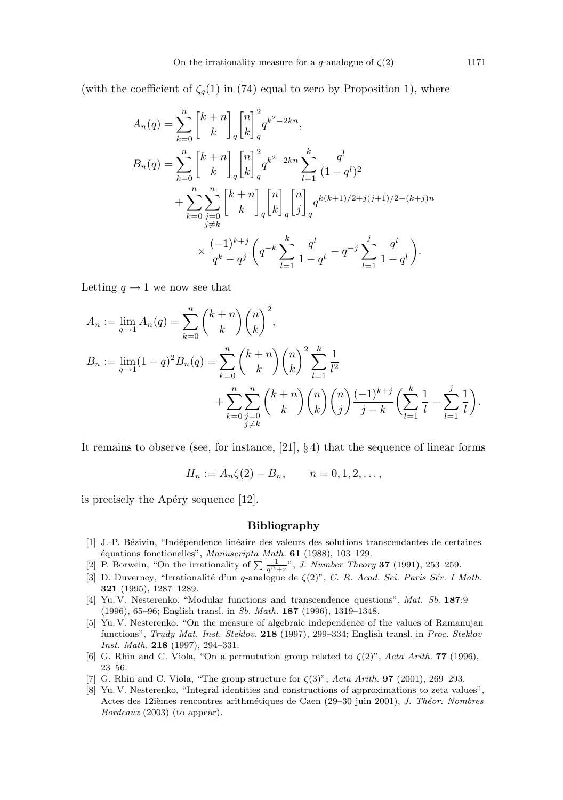(with the coefficient of  $\zeta_q(1)$  in (74) equal to zero by Proposition 1), where

$$
A_n(q) = \sum_{k=0}^n \begin{bmatrix} k+n \\ k \end{bmatrix}_q {n \brack k}^2 q^{k^2 - 2kn},
$$
  
\n
$$
B_n(q) = \sum_{k=0}^n \begin{bmatrix} k+n \\ k \end{bmatrix}_q {n \brack k}^2 q^{k^2 - 2kn} \sum_{l=1}^k \frac{q^l}{(1-q^l)^2}
$$
  
\n
$$
+ \sum_{k=0}^n \sum_{\substack{j=0 \ j \neq k}}^n \begin{bmatrix} k+n \\ k \end{bmatrix}_q {n \brack k}^2_q {j \brack j}_q q^{k(k+1)/2+j(j+1)/2-(k+j)n}
$$
  
\n
$$
\times \frac{(-1)^{k+j}}{q^k - q^j} \left( q^{-k} \sum_{l=1}^k \frac{q^l}{1-q^l} - q^{-j} \sum_{l=1}^j \frac{q^l}{1-q^l} \right).
$$

Letting  $q \to 1$  we now see that

$$
A_n := \lim_{q \to 1} A_n(q) = \sum_{k=0}^n {k+n \choose k} {n \choose k}^2,
$$
  
\n
$$
B_n := \lim_{q \to 1} (1-q)^2 B_n(q) = \sum_{k=0}^n {k+n \choose k} {n \choose k}^2 \sum_{l=1}^k \frac{1}{l^2} + \sum_{k=0}^n \sum_{\substack{j=0 \ j \neq k}}^n {k+n \choose k} {n \choose k} {n \choose j} \frac{(-1)^{k+j}}{j-k} \left(\sum_{l=1}^k \frac{1}{l} - \sum_{l=1}^j \frac{1}{l}\right).
$$

It remains to observe (see, for instance,  $[21]$ ,  $\S 4$ ) that the sequence of linear forms

$$
H_n := A_n \zeta(2) - B_n, \qquad n = 0, 1, 2, \dots,
$$

is precisely the Apéry sequence  $[12]$ .

### Bibliography

- [1] J.-P. Bézivin, "Indépendence linéaire des valeurs des solutions transcendantes de certaines équations fonctionelles", Manuscripta Math. 61 (1988), 103-129.
- [2] P. Borwein, "On the irrationality of  $\sum_{n=1}^{\infty} \frac{1}{q^n+r}$ ", *J. Number Theory* **37** (1991), 253–259.
- [3] D. Duverney, "Irrationalité d'un q-analogue de  $\zeta(2)$ ", C. R. Acad. Sci. Paris Sér. I Math. 321 (1995), 1287–1289.
- [4] Yu. V. Nesterenko, "Modular functions and transcendence questions", Mat. Sb. 187:9 (1996), 65–96; English transl. in Sb. Math. 187 (1996), 1319–1348.
- [5] Yu. V. Nesterenko, "On the measure of algebraic independence of the values of Ramanujan functions", Trudy Mat. Inst. Steklov. 218 (1997), 299–334; English transl. in Proc. Steklov Inst. Math. 218 (1997), 294–331.
- [6] G. Rhin and C. Viola, "On a permutation group related to  $\zeta(2)$ ", Acta Arith. **77** (1996), 23–56.
- [7] G. Rhin and C. Viola, "The group structure for  $\zeta(3)$ ", Acta Arith. **97** (2001), 269–293.
- [8] Yu. V. Nesterenko, "Integral identities and constructions of approximations to zeta values", Actes des 12ièmes rencontres arithmétiques de Caen (29–30 juin 2001), J. Théor. Nombres Bordeaux (2003) (to appear).